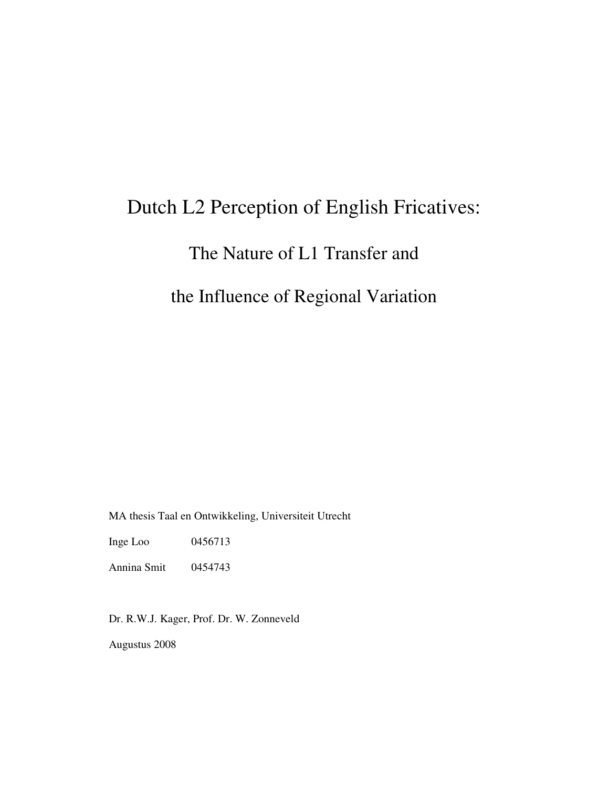# Dutch L2 Perception of English Fricatives:

## The Nature of L1 Transfer and

### the Influence of Regional Variation

MA thesis Taal en Ontwikkeling, Universiteit Utrecht

Inge Loo 0456713

Annina Smit 0454743

Dr. R.W.J. Kager, Prof. Dr. W. Zonneveld

Augustus 2008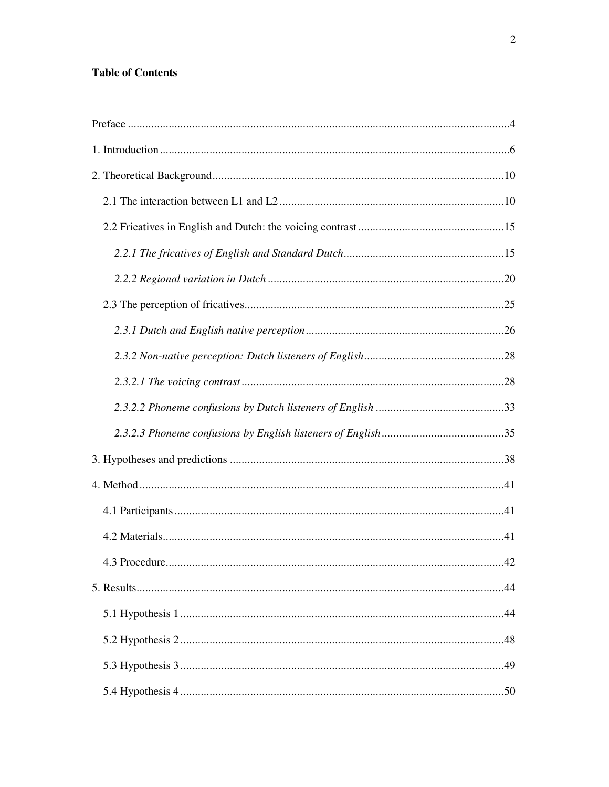### **Table of Contents**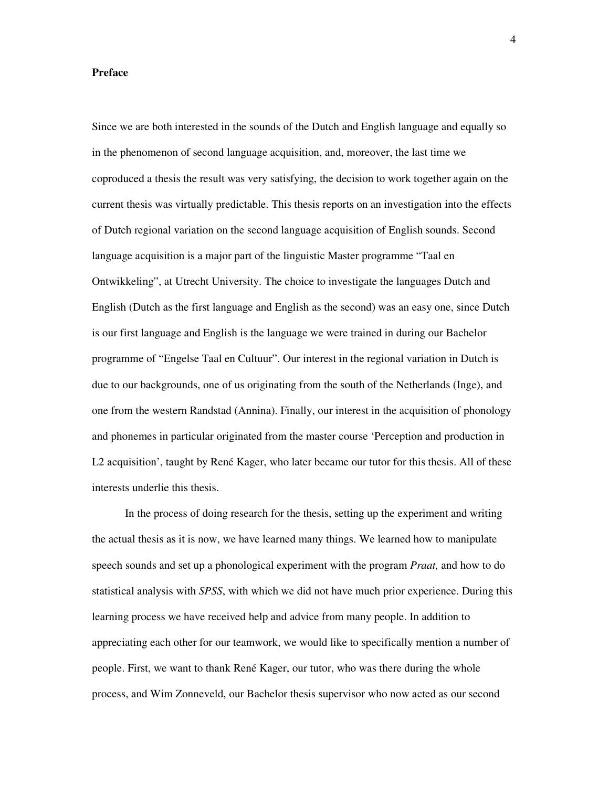#### **Preface**

Since we are both interested in the sounds of the Dutch and English language and equally so in the phenomenon of second language acquisition, and, moreover, the last time we coproduced a thesis the result was very satisfying, the decision to work together again on the current thesis was virtually predictable. This thesis reports on an investigation into the effects of Dutch regional variation on the second language acquisition of English sounds. Second language acquisition is a major part of the linguistic Master programme "Taal en Ontwikkeling", at Utrecht University. The choice to investigate the languages Dutch and English (Dutch as the first language and English as the second) was an easy one, since Dutch is our first language and English is the language we were trained in during our Bachelor programme of "Engelse Taal en Cultuur". Our interest in the regional variation in Dutch is due to our backgrounds, one of us originating from the south of the Netherlands (Inge), and one from the western Randstad (Annina). Finally, our interest in the acquisition of phonology and phonemes in particular originated from the master course 'Perception and production in L2 acquisition', taught by René Kager, who later became our tutor for this thesis. All of these interests underlie this thesis.

 In the process of doing research for the thesis, setting up the experiment and writing the actual thesis as it is now, we have learned many things. We learned how to manipulate speech sounds and set up a phonological experiment with the program *Praat,* and how to do statistical analysis with *SPSS*, with which we did not have much prior experience. During this learning process we have received help and advice from many people. In addition to appreciating each other for our teamwork, we would like to specifically mention a number of people. First, we want to thank René Kager, our tutor, who was there during the whole process, and Wim Zonneveld, our Bachelor thesis supervisor who now acted as our second

4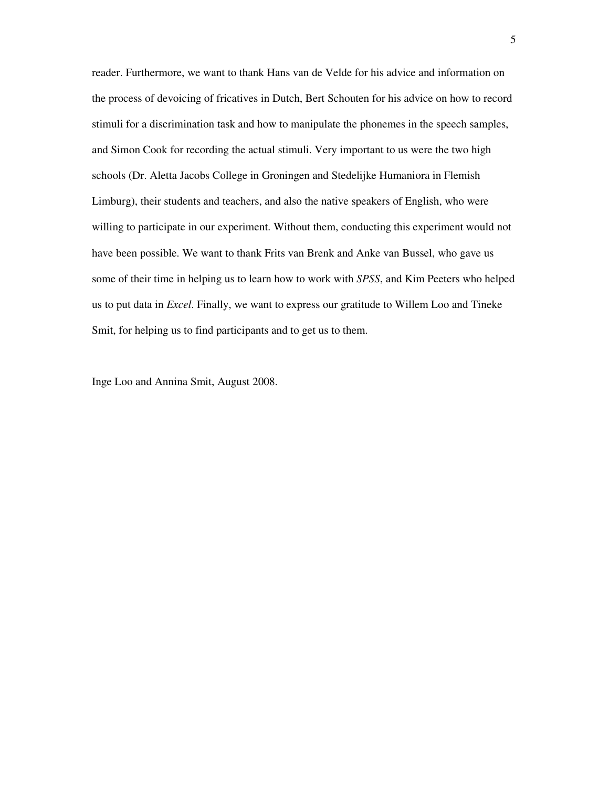reader. Furthermore, we want to thank Hans van de Velde for his advice and information on the process of devoicing of fricatives in Dutch, Bert Schouten for his advice on how to record stimuli for a discrimination task and how to manipulate the phonemes in the speech samples, and Simon Cook for recording the actual stimuli. Very important to us were the two high schools (Dr. Aletta Jacobs College in Groningen and Stedelijke Humaniora in Flemish Limburg), their students and teachers, and also the native speakers of English, who were willing to participate in our experiment. Without them, conducting this experiment would not have been possible. We want to thank Frits van Brenk and Anke van Bussel, who gave us some of their time in helping us to learn how to work with *SPSS*, and Kim Peeters who helped us to put data in *Excel*. Finally, we want to express our gratitude to Willem Loo and Tineke Smit, for helping us to find participants and to get us to them.

Inge Loo and Annina Smit, August 2008.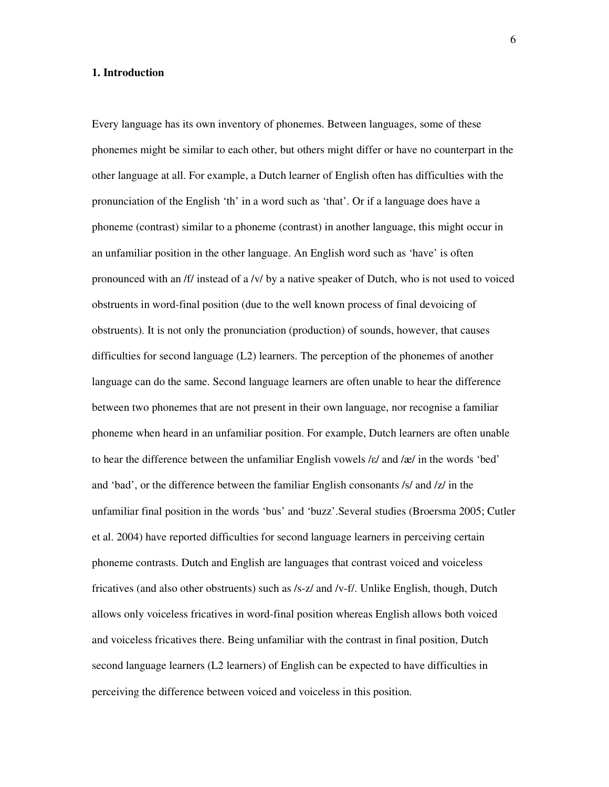#### **1. Introduction**

Every language has its own inventory of phonemes. Between languages, some of these phonemes might be similar to each other, but others might differ or have no counterpart in the other language at all. For example, a Dutch learner of English often has difficulties with the pronunciation of the English 'th' in a word such as 'that'. Or if a language does have a phoneme (contrast) similar to a phoneme (contrast) in another language, this might occur in an unfamiliar position in the other language. An English word such as 'have' is often pronounced with an /f/ instead of a /v/ by a native speaker of Dutch, who is not used to voiced obstruents in word-final position (due to the well known process of final devoicing of obstruents). It is not only the pronunciation (production) of sounds, however, that causes difficulties for second language (L2) learners. The perception of the phonemes of another language can do the same. Second language learners are often unable to hear the difference between two phonemes that are not present in their own language, nor recognise a familiar phoneme when heard in an unfamiliar position. For example, Dutch learners are often unable to hear the difference between the unfamiliar English vowels /ε/ and /œ/ in the words 'bed' and 'bad', or the difference between the familiar English consonants /s/ and /z/ in the unfamiliar final position in the words 'bus' and 'buzz'.Several studies (Broersma 2005; Cutler et al. 2004) have reported difficulties for second language learners in perceiving certain phoneme contrasts. Dutch and English are languages that contrast voiced and voiceless fricatives (and also other obstruents) such as /s-z/ and /v-f/. Unlike English, though, Dutch allows only voiceless fricatives in word-final position whereas English allows both voiced and voiceless fricatives there. Being unfamiliar with the contrast in final position, Dutch second language learners (L2 learners) of English can be expected to have difficulties in perceiving the difference between voiced and voiceless in this position.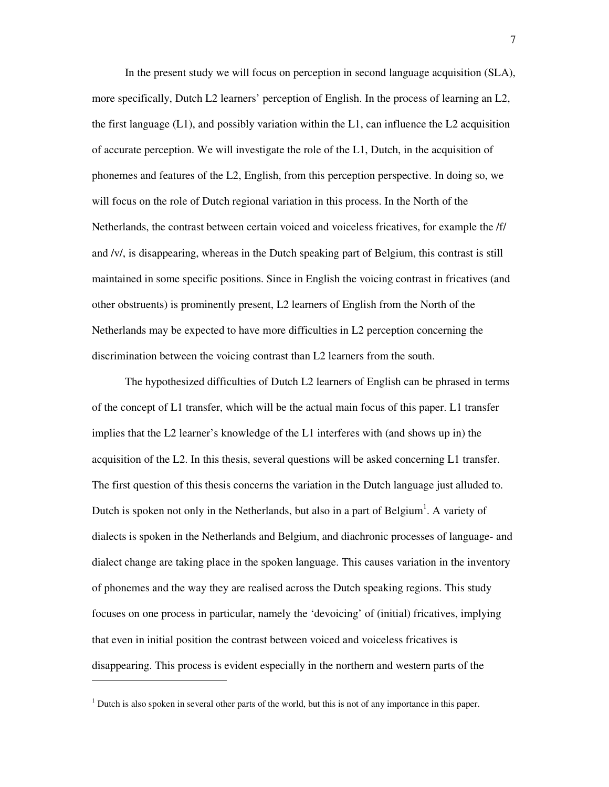In the present study we will focus on perception in second language acquisition (SLA), more specifically, Dutch L2 learners' perception of English. In the process of learning an L2, the first language  $(L1)$ , and possibly variation within the L1, can influence the L2 acquisition of accurate perception. We will investigate the role of the L1, Dutch, in the acquisition of phonemes and features of the L2, English, from this perception perspective. In doing so, we will focus on the role of Dutch regional variation in this process. In the North of the Netherlands, the contrast between certain voiced and voiceless fricatives, for example the /f/ and /v/, is disappearing, whereas in the Dutch speaking part of Belgium, this contrast is still maintained in some specific positions. Since in English the voicing contrast in fricatives (and other obstruents) is prominently present, L2 learners of English from the North of the Netherlands may be expected to have more difficulties in L2 perception concerning the discrimination between the voicing contrast than L2 learners from the south.

 The hypothesized difficulties of Dutch L2 learners of English can be phrased in terms of the concept of L1 transfer, which will be the actual main focus of this paper. L1 transfer implies that the L2 learner's knowledge of the L1 interferes with (and shows up in) the acquisition of the L2. In this thesis, several questions will be asked concerning L1 transfer. The first question of this thesis concerns the variation in the Dutch language just alluded to. Dutch is spoken not only in the Netherlands, but also in a part of Belgium<sup>1</sup>. A variety of dialects is spoken in the Netherlands and Belgium, and diachronic processes of language- and dialect change are taking place in the spoken language. This causes variation in the inventory of phonemes and the way they are realised across the Dutch speaking regions. This study focuses on one process in particular, namely the 'devoicing' of (initial) fricatives, implying that even in initial position the contrast between voiced and voiceless fricatives is disappearing. This process is evident especially in the northern and western parts of the

-

 $<sup>1</sup>$  Dutch is also spoken in several other parts of the world, but this is not of any importance in this paper.</sup>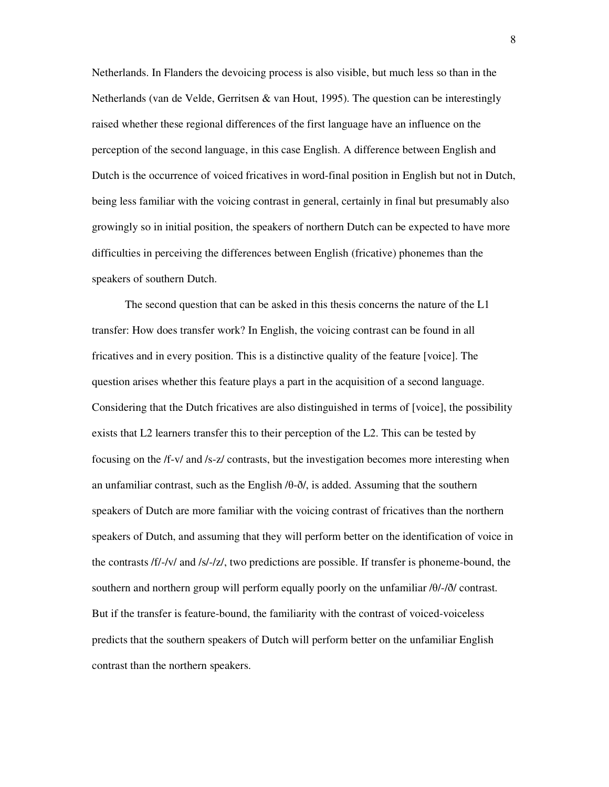Netherlands. In Flanders the devoicing process is also visible, but much less so than in the Netherlands (van de Velde, Gerritsen & van Hout, 1995). The question can be interestingly raised whether these regional differences of the first language have an influence on the perception of the second language, in this case English. A difference between English and Dutch is the occurrence of voiced fricatives in word-final position in English but not in Dutch, being less familiar with the voicing contrast in general, certainly in final but presumably also growingly so in initial position, the speakers of northern Dutch can be expected to have more difficulties in perceiving the differences between English (fricative) phonemes than the speakers of southern Dutch.

The second question that can be asked in this thesis concerns the nature of the L1 transfer: How does transfer work? In English, the voicing contrast can be found in all fricatives and in every position. This is a distinctive quality of the feature [voice]. The question arises whether this feature plays a part in the acquisition of a second language. Considering that the Dutch fricatives are also distinguished in terms of [voice], the possibility exists that L2 learners transfer this to their perception of the L2. This can be tested by focusing on the /f-v/ and /s-z/ contrasts, but the investigation becomes more interesting when an unfamiliar contrast, such as the English /θ-ð/, is added. Assuming that the southern speakers of Dutch are more familiar with the voicing contrast of fricatives than the northern speakers of Dutch, and assuming that they will perform better on the identification of voice in the contrasts /f/-/v/ and /s/-/z/, two predictions are possible. If transfer is phoneme-bound, the southern and northern group will perform equally poorly on the unfamiliar /θ/-/ð/ contrast. But if the transfer is feature-bound, the familiarity with the contrast of voiced-voiceless predicts that the southern speakers of Dutch will perform better on the unfamiliar English contrast than the northern speakers.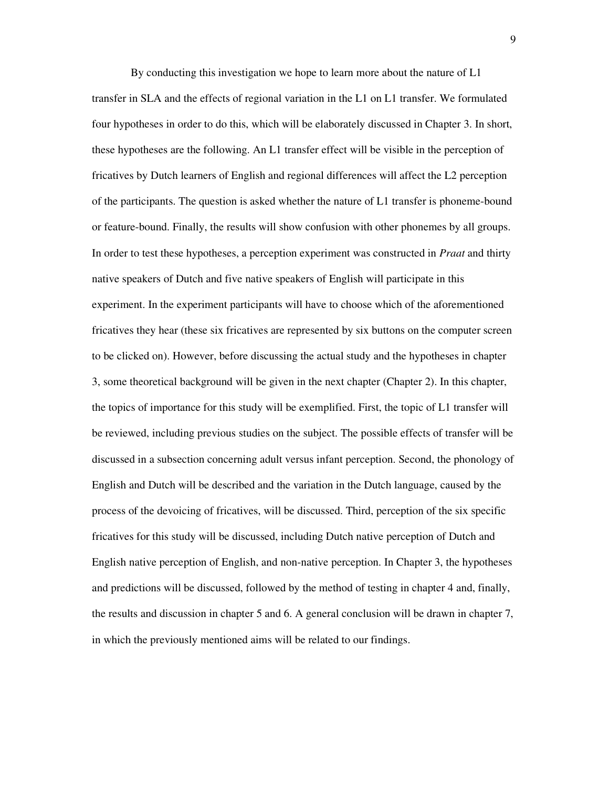By conducting this investigation we hope to learn more about the nature of L1 transfer in SLA and the effects of regional variation in the L1 on L1 transfer. We formulated four hypotheses in order to do this, which will be elaborately discussed in Chapter 3. In short, these hypotheses are the following. An L1 transfer effect will be visible in the perception of fricatives by Dutch learners of English and regional differences will affect the L2 perception of the participants. The question is asked whether the nature of L1 transfer is phoneme-bound or feature-bound. Finally, the results will show confusion with other phonemes by all groups. In order to test these hypotheses, a perception experiment was constructed in *Praat* and thirty native speakers of Dutch and five native speakers of English will participate in this experiment. In the experiment participants will have to choose which of the aforementioned fricatives they hear (these six fricatives are represented by six buttons on the computer screen to be clicked on). However, before discussing the actual study and the hypotheses in chapter 3, some theoretical background will be given in the next chapter (Chapter 2). In this chapter, the topics of importance for this study will be exemplified. First, the topic of L1 transfer will be reviewed, including previous studies on the subject. The possible effects of transfer will be discussed in a subsection concerning adult versus infant perception. Second, the phonology of English and Dutch will be described and the variation in the Dutch language, caused by the process of the devoicing of fricatives, will be discussed. Third, perception of the six specific fricatives for this study will be discussed, including Dutch native perception of Dutch and English native perception of English, and non-native perception. In Chapter 3, the hypotheses and predictions will be discussed, followed by the method of testing in chapter 4 and, finally, the results and discussion in chapter 5 and 6. A general conclusion will be drawn in chapter 7, in which the previously mentioned aims will be related to our findings.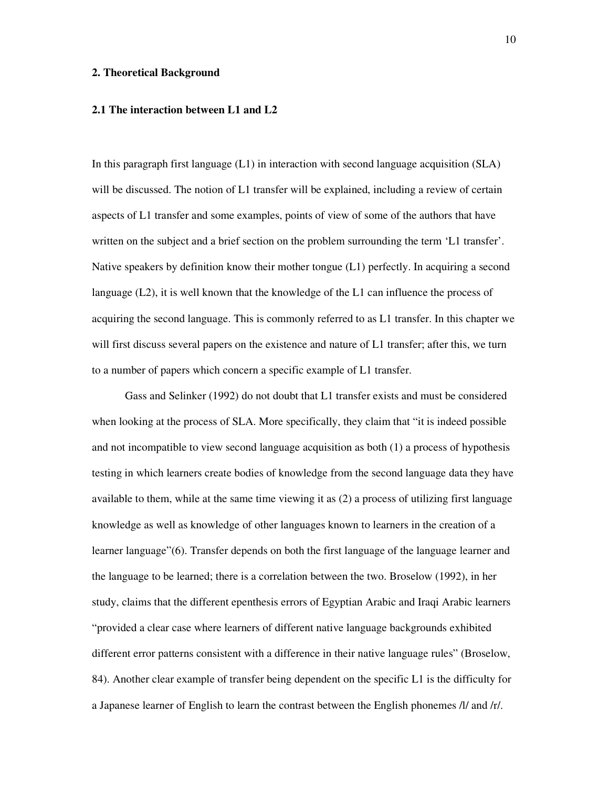#### **2. Theoretical Background**

#### **2.1 The interaction between L1 and L2**

In this paragraph first language (L1) in interaction with second language acquisition (SLA) will be discussed. The notion of L1 transfer will be explained, including a review of certain aspects of L1 transfer and some examples, points of view of some of the authors that have written on the subject and a brief section on the problem surrounding the term 'L1 transfer'. Native speakers by definition know their mother tongue (L1) perfectly. In acquiring a second language (L2), it is well known that the knowledge of the L1 can influence the process of acquiring the second language. This is commonly referred to as L1 transfer. In this chapter we will first discuss several papers on the existence and nature of L1 transfer; after this, we turn to a number of papers which concern a specific example of L1 transfer.

Gass and Selinker (1992) do not doubt that L1 transfer exists and must be considered when looking at the process of SLA. More specifically, they claim that "it is indeed possible and not incompatible to view second language acquisition as both (1) a process of hypothesis testing in which learners create bodies of knowledge from the second language data they have available to them, while at the same time viewing it as (2) a process of utilizing first language knowledge as well as knowledge of other languages known to learners in the creation of a learner language"(6). Transfer depends on both the first language of the language learner and the language to be learned; there is a correlation between the two. Broselow (1992), in her study, claims that the different epenthesis errors of Egyptian Arabic and Iraqi Arabic learners "provided a clear case where learners of different native language backgrounds exhibited different error patterns consistent with a difference in their native language rules" (Broselow, 84). Another clear example of transfer being dependent on the specific L1 is the difficulty for a Japanese learner of English to learn the contrast between the English phonemes /l/ and /r/.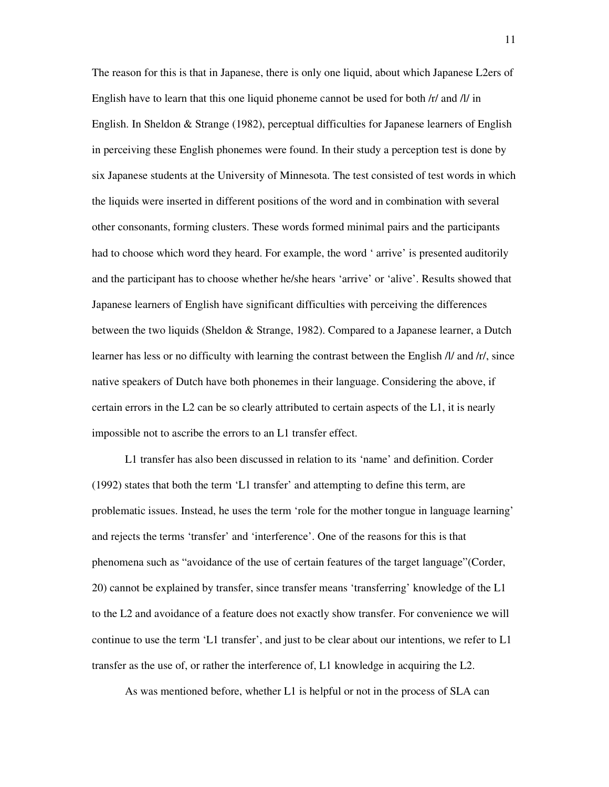The reason for this is that in Japanese, there is only one liquid, about which Japanese L2ers of English have to learn that this one liquid phoneme cannot be used for both /r/ and /l/ in English. In Sheldon & Strange (1982), perceptual difficulties for Japanese learners of English in perceiving these English phonemes were found. In their study a perception test is done by six Japanese students at the University of Minnesota. The test consisted of test words in which the liquids were inserted in different positions of the word and in combination with several other consonants, forming clusters. These words formed minimal pairs and the participants had to choose which word they heard. For example, the word ' arrive' is presented auditorily and the participant has to choose whether he/she hears 'arrive' or 'alive'. Results showed that Japanese learners of English have significant difficulties with perceiving the differences between the two liquids (Sheldon & Strange, 1982). Compared to a Japanese learner, a Dutch learner has less or no difficulty with learning the contrast between the English /l/ and /r/, since native speakers of Dutch have both phonemes in their language. Considering the above, if certain errors in the L2 can be so clearly attributed to certain aspects of the L1, it is nearly impossible not to ascribe the errors to an L1 transfer effect.

L1 transfer has also been discussed in relation to its 'name' and definition. Corder (1992) states that both the term 'L1 transfer' and attempting to define this term, are problematic issues. Instead, he uses the term 'role for the mother tongue in language learning' and rejects the terms 'transfer' and 'interference'. One of the reasons for this is that phenomena such as "avoidance of the use of certain features of the target language"(Corder, 20) cannot be explained by transfer, since transfer means 'transferring' knowledge of the L1 to the L2 and avoidance of a feature does not exactly show transfer. For convenience we will continue to use the term 'L1 transfer', and just to be clear about our intentions, we refer to L1 transfer as the use of, or rather the interference of, L1 knowledge in acquiring the L2.

As was mentioned before, whether L1 is helpful or not in the process of SLA can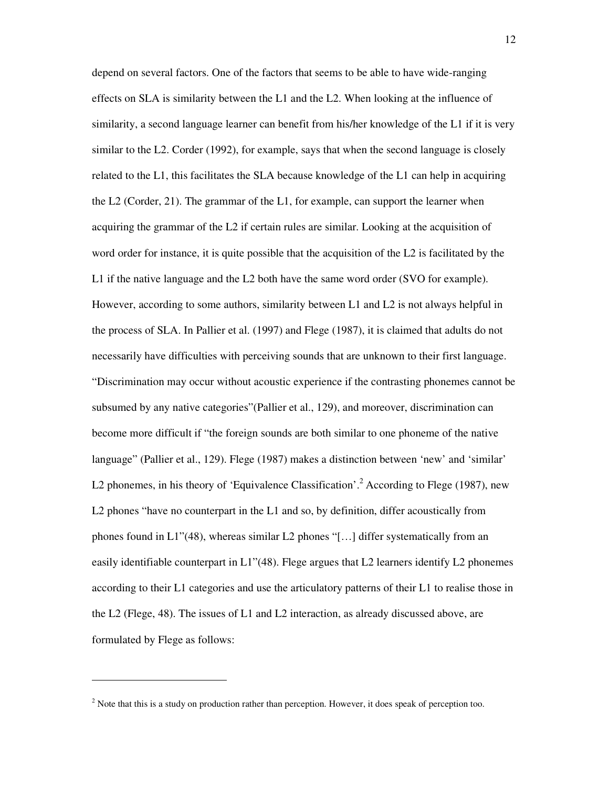depend on several factors. One of the factors that seems to be able to have wide-ranging effects on SLA is similarity between the L1 and the L2. When looking at the influence of similarity, a second language learner can benefit from his/her knowledge of the L1 if it is very similar to the L2. Corder (1992), for example, says that when the second language is closely related to the L1, this facilitates the SLA because knowledge of the L1 can help in acquiring the L2 (Corder, 21). The grammar of the L1, for example, can support the learner when acquiring the grammar of the L2 if certain rules are similar. Looking at the acquisition of word order for instance, it is quite possible that the acquisition of the L2 is facilitated by the L1 if the native language and the L2 both have the same word order (SVO for example). However, according to some authors, similarity between L1 and L2 is not always helpful in the process of SLA. In Pallier et al. (1997) and Flege (1987), it is claimed that adults do not necessarily have difficulties with perceiving sounds that are unknown to their first language. "Discrimination may occur without acoustic experience if the contrasting phonemes cannot be subsumed by any native categories"(Pallier et al., 129), and moreover, discrimination can become more difficult if "the foreign sounds are both similar to one phoneme of the native language" (Pallier et al., 129). Flege (1987) makes a distinction between 'new' and 'similar' L2 phonemes, in his theory of 'Equivalence Classification'.<sup>2</sup> According to Flege (1987), new L2 phones "have no counterpart in the L1 and so, by definition, differ acoustically from phones found in L1"(48), whereas similar L2 phones "[…] differ systematically from an easily identifiable counterpart in L1"(48). Flege argues that L2 learners identify L2 phonemes according to their L1 categories and use the articulatory patterns of their L1 to realise those in the L2 (Flege, 48). The issues of L1 and L2 interaction, as already discussed above, are formulated by Flege as follows:

-

 $2$  Note that this is a study on production rather than perception. However, it does speak of perception too.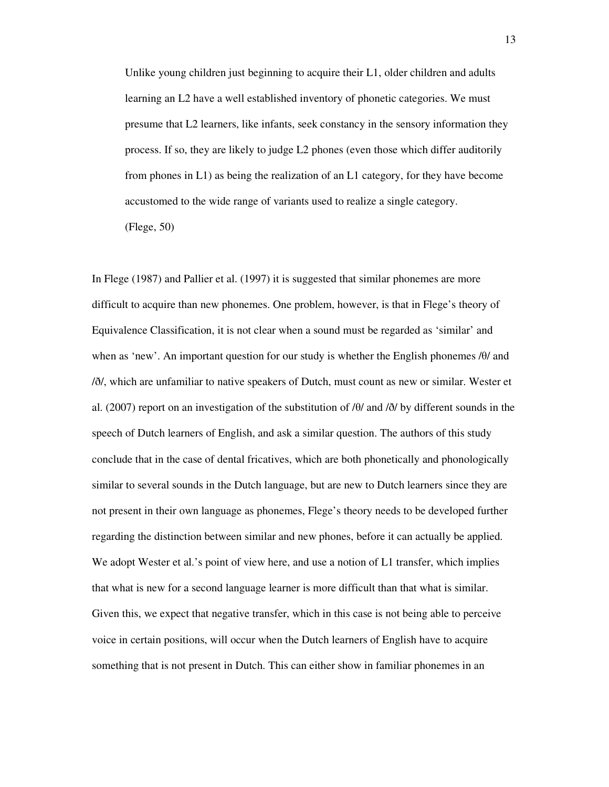Unlike young children just beginning to acquire their L1, older children and adults learning an L2 have a well established inventory of phonetic categories. We must presume that L2 learners, like infants, seek constancy in the sensory information they process. If so, they are likely to judge L2 phones (even those which differ auditorily from phones in L1) as being the realization of an L1 category, for they have become accustomed to the wide range of variants used to realize a single category. (Flege, 50)

In Flege (1987) and Pallier et al. (1997) it is suggested that similar phonemes are more difficult to acquire than new phonemes. One problem, however, is that in Flege's theory of Equivalence Classification, it is not clear when a sound must be regarded as 'similar' and when as 'new'. An important question for our study is whether the English phonemes /θ/ and /ð/, which are unfamiliar to native speakers of Dutch, must count as new or similar. Wester et al. (2007) report on an investigation of the substitution of /θ/ and /ð/ by different sounds in the speech of Dutch learners of English, and ask a similar question. The authors of this study conclude that in the case of dental fricatives, which are both phonetically and phonologically similar to several sounds in the Dutch language, but are new to Dutch learners since they are not present in their own language as phonemes, Flege's theory needs to be developed further regarding the distinction between similar and new phones, before it can actually be applied. We adopt Wester et al.'s point of view here, and use a notion of L1 transfer, which implies that what is new for a second language learner is more difficult than that what is similar. Given this, we expect that negative transfer, which in this case is not being able to perceive voice in certain positions, will occur when the Dutch learners of English have to acquire something that is not present in Dutch. This can either show in familiar phonemes in an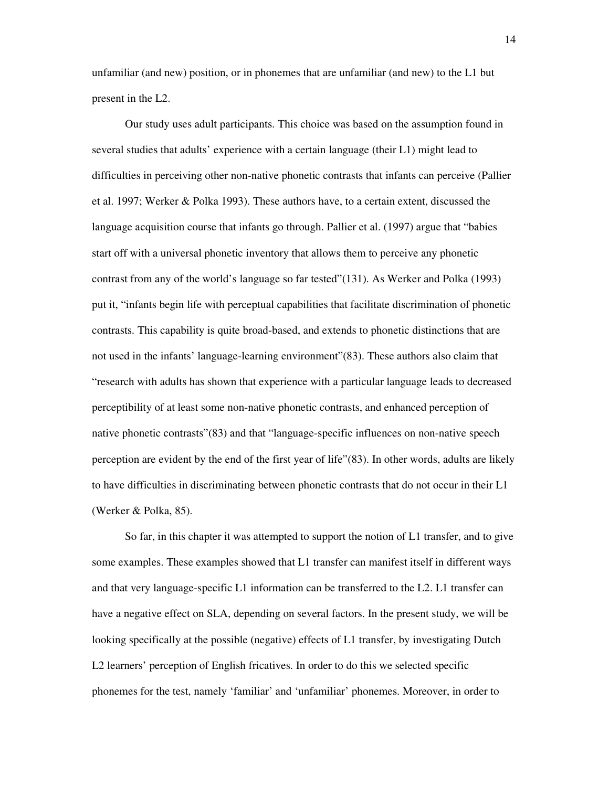unfamiliar (and new) position, or in phonemes that are unfamiliar (and new) to the L1 but present in the L2.

 Our study uses adult participants. This choice was based on the assumption found in several studies that adults' experience with a certain language (their L1) might lead to difficulties in perceiving other non-native phonetic contrasts that infants can perceive (Pallier et al. 1997; Werker & Polka 1993). These authors have, to a certain extent, discussed the language acquisition course that infants go through. Pallier et al. (1997) argue that "babies start off with a universal phonetic inventory that allows them to perceive any phonetic contrast from any of the world's language so far tested"(131). As Werker and Polka (1993) put it, "infants begin life with perceptual capabilities that facilitate discrimination of phonetic contrasts. This capability is quite broad-based, and extends to phonetic distinctions that are not used in the infants' language-learning environment"(83). These authors also claim that "research with adults has shown that experience with a particular language leads to decreased perceptibility of at least some non-native phonetic contrasts, and enhanced perception of native phonetic contrasts"(83) and that "language-specific influences on non-native speech perception are evident by the end of the first year of life"(83). In other words, adults are likely to have difficulties in discriminating between phonetic contrasts that do not occur in their L1 (Werker & Polka, 85).

 So far, in this chapter it was attempted to support the notion of L1 transfer, and to give some examples. These examples showed that L1 transfer can manifest itself in different ways and that very language-specific L1 information can be transferred to the L2. L1 transfer can have a negative effect on SLA, depending on several factors. In the present study, we will be looking specifically at the possible (negative) effects of L1 transfer, by investigating Dutch L2 learners' perception of English fricatives. In order to do this we selected specific phonemes for the test, namely 'familiar' and 'unfamiliar' phonemes. Moreover, in order to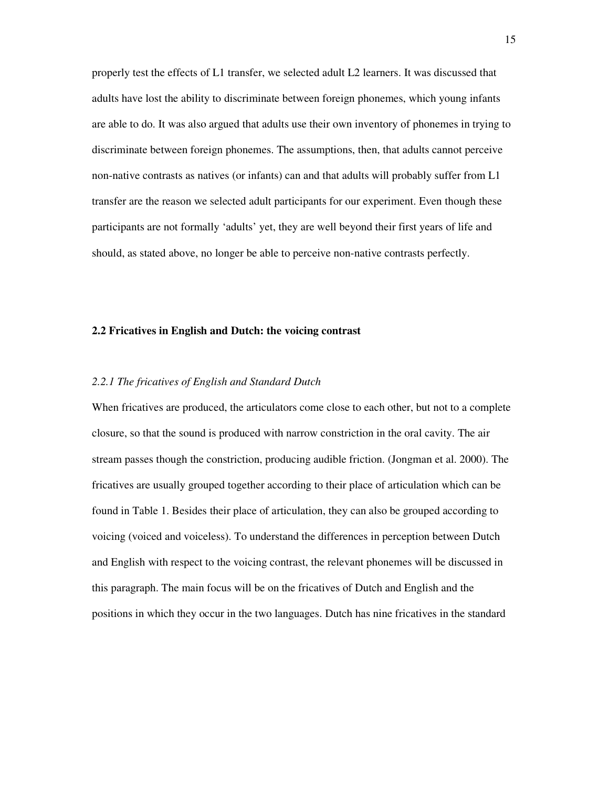properly test the effects of L1 transfer, we selected adult L2 learners. It was discussed that adults have lost the ability to discriminate between foreign phonemes, which young infants are able to do. It was also argued that adults use their own inventory of phonemes in trying to discriminate between foreign phonemes. The assumptions, then, that adults cannot perceive non-native contrasts as natives (or infants) can and that adults will probably suffer from L1 transfer are the reason we selected adult participants for our experiment. Even though these participants are not formally 'adults' yet, they are well beyond their first years of life and should, as stated above, no longer be able to perceive non-native contrasts perfectly.

#### **2.2 Fricatives in English and Dutch: the voicing contrast**

#### *2.2.1 The fricatives of English and Standard Dutch*

When fricatives are produced, the articulators come close to each other, but not to a complete closure, so that the sound is produced with narrow constriction in the oral cavity. The air stream passes though the constriction, producing audible friction. (Jongman et al. 2000). The fricatives are usually grouped together according to their place of articulation which can be found in Table 1. Besides their place of articulation, they can also be grouped according to voicing (voiced and voiceless). To understand the differences in perception between Dutch and English with respect to the voicing contrast, the relevant phonemes will be discussed in this paragraph. The main focus will be on the fricatives of Dutch and English and the positions in which they occur in the two languages. Dutch has nine fricatives in the standard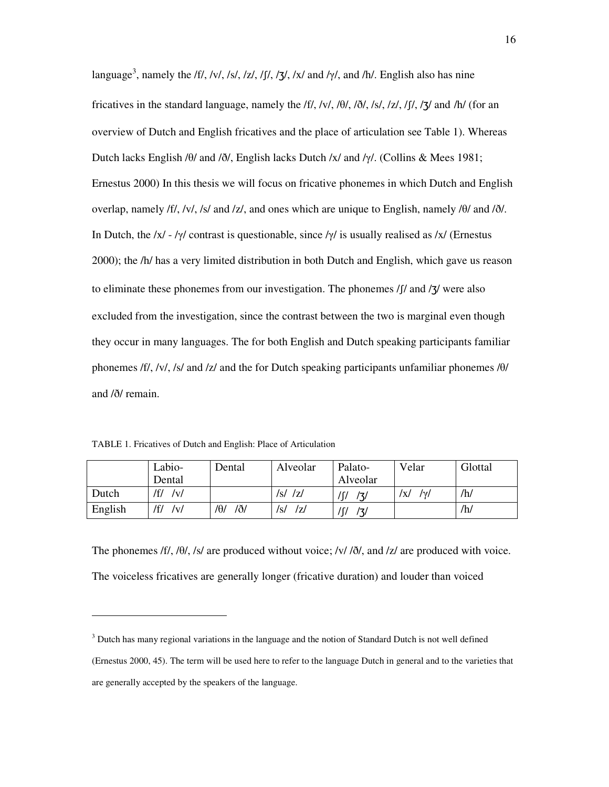language<sup>3</sup>, namely the /f/, /v/, /s/, /z/, /f/, /**3**/, /x/ and / $\gamma$ /, and /h/. English also has nine fricatives in the standard language, namely the  $\frac{f}{f}$ ,  $\frac{f}{\sqrt{6}}$ ,  $\frac{f}{\sqrt{6}}$ ,  $\frac{f}{s}$ ,  $\frac{f}{f}$ ,  $\frac{f}{f}$ ,  $\frac{f}{f}$  and  $\frac{f}{f}$  (for an overview of Dutch and English fricatives and the place of articulation see Table 1). Whereas Dutch lacks English  $\theta$  and  $\delta$ , English lacks Dutch /x/ and / $\gamma$ . (Collins & Mees 1981; Ernestus 2000) In this thesis we will focus on fricative phonemes in which Dutch and English overlap, namely /f/, /v/, /s/ and /z/, and ones which are unique to English, namely /θ/ and /ð/. In Dutch, the  $/x/ - \frac{y}{\csc}$  contrast is questionable, since  $\frac{y}{i}$  is usually realised as  $\frac{x}{i}$  (Ernestus 2000); the /h/ has a very limited distribution in both Dutch and English, which gave us reason to eliminate these phonemes from our investigation. The phonemes /ʃ/ and /ʒ/ were also excluded from the investigation, since the contrast between the two is marginal even though they occur in many languages. The for both English and Dutch speaking participants familiar phonemes /f/, /v/, /s/ and /z/ and the for Dutch speaking participants unfamiliar phonemes /θ/ and /ð/ remain.

TABLE 1. Fricatives of Dutch and English: Place of Articulation

-

|         | Labio-     | Dental                    | Alveolar   | Palato-    | Velar             | Glottal |
|---------|------------|---------------------------|------------|------------|-------------------|---------|
|         | Dental     |                           |            | Alveolar   |                   |         |
| Dutch   | /f/<br> v  |                           | /s/<br>/z/ | /٦/        | /x/<br>$\sqrt{v}$ | /h/     |
| English | /f/<br>/v/ | / $\theta$ /<br>$/ \eth/$ | z <br>/s/  | /∫/<br>/3/ |                   | /h/     |

The phonemes  $f/$ ,  $f/$ ,  $f/$ ,  $f/$  are produced without voice;  $f/$ ,  $f/$ , and  $f/$  are produced with voice. The voiceless fricatives are generally longer (fricative duration) and louder than voiced

<sup>&</sup>lt;sup>3</sup> Dutch has many regional variations in the language and the notion of Standard Dutch is not well defined (Ernestus 2000, 45). The term will be used here to refer to the language Dutch in general and to the varieties that are generally accepted by the speakers of the language.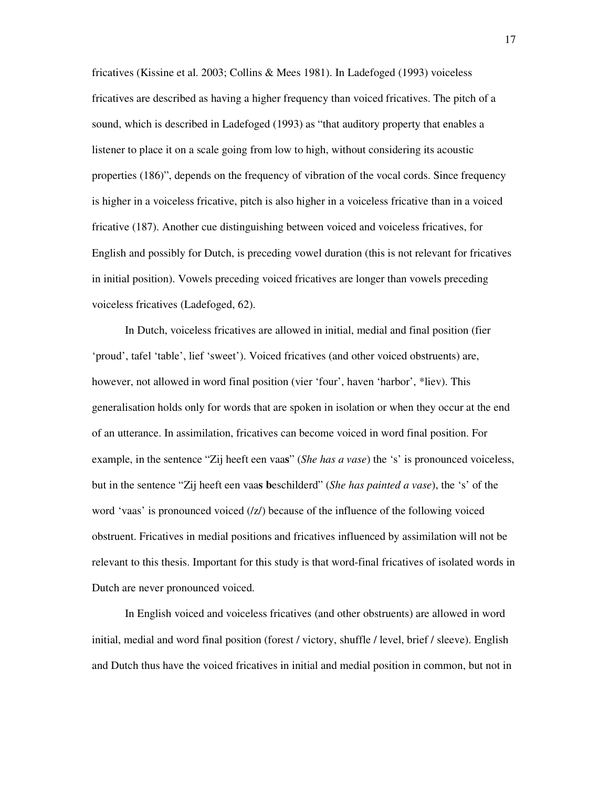fricatives (Kissine et al. 2003; Collins & Mees 1981). In Ladefoged (1993) voiceless fricatives are described as having a higher frequency than voiced fricatives. The pitch of a sound, which is described in Ladefoged (1993) as "that auditory property that enables a listener to place it on a scale going from low to high, without considering its acoustic properties (186)", depends on the frequency of vibration of the vocal cords. Since frequency is higher in a voiceless fricative, pitch is also higher in a voiceless fricative than in a voiced fricative (187). Another cue distinguishing between voiced and voiceless fricatives, for English and possibly for Dutch, is preceding vowel duration (this is not relevant for fricatives in initial position). Vowels preceding voiced fricatives are longer than vowels preceding voiceless fricatives (Ladefoged, 62).

In Dutch, voiceless fricatives are allowed in initial, medial and final position (fier 'proud', tafel 'table', lief 'sweet'). Voiced fricatives (and other voiced obstruents) are, however, not allowed in word final position (vier 'four', haven 'harbor', \*liev). This generalisation holds only for words that are spoken in isolation or when they occur at the end of an utterance. In assimilation, fricatives can become voiced in word final position. For example, in the sentence "Zij heeft een vaa**s**" (*She has a vase*) the 's' is pronounced voiceless, but in the sentence "Zij heeft een vaa**s b**eschilderd" (*She has painted a vase*), the 's' of the word 'vaas' is pronounced voiced (/z/) because of the influence of the following voiced obstruent. Fricatives in medial positions and fricatives influenced by assimilation will not be relevant to this thesis. Important for this study is that word-final fricatives of isolated words in Dutch are never pronounced voiced.

In English voiced and voiceless fricatives (and other obstruents) are allowed in word initial, medial and word final position (forest / victory, shuffle / level, brief / sleeve). English and Dutch thus have the voiced fricatives in initial and medial position in common, but not in

17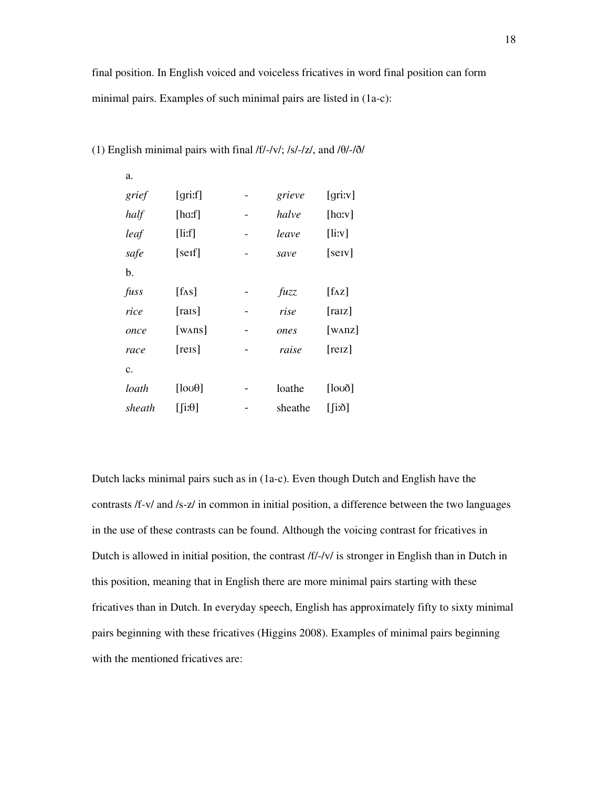| grief  | $\left[$ qrit $\right]$ | grieve  | [griːv]           |
|--------|-------------------------|---------|-------------------|
| half   | [haːf]                  | halve   | $[{\rm h}a;v]$    |
| leaf   | $[$ li:f $]$            | leave   | $[$ lirv $]$      |
| safe   | [self]                  | save    | $[$ serv $]$      |
| b.     |                         |         |                   |
| fuss   | [fAs]                   | fuzz    | $[f\Lambda z]$    |
| rice   | $[{\rm{ras}}]$          | rise    | $[{\rm raz}]$     |
| once   | [ $WANS$ ]              | ones    | [ $W\Lambda nZ$ ] |
| race   | [res]                   | raise   | [relz]            |
| c.     |                         |         |                   |
| loath  | [1000]                  | loathe  | [1000]            |
| sheath | $[$ i: $\theta$ ]       | sheathe | $\lceil$ i:ð]     |

#### (1) English minimal pairs with final /f/-/v/; /s/-/z/, and /θ/-/ð/

a.

Dutch lacks minimal pairs such as in (1a-c). Even though Dutch and English have the contrasts /f-v/ and /s-z/ in common in initial position, a difference between the two languages in the use of these contrasts can be found. Although the voicing contrast for fricatives in Dutch is allowed in initial position, the contrast /f/-/v/ is stronger in English than in Dutch in this position, meaning that in English there are more minimal pairs starting with these fricatives than in Dutch. In everyday speech, English has approximately fifty to sixty minimal pairs beginning with these fricatives (Higgins 2008). Examples of minimal pairs beginning with the mentioned fricatives are: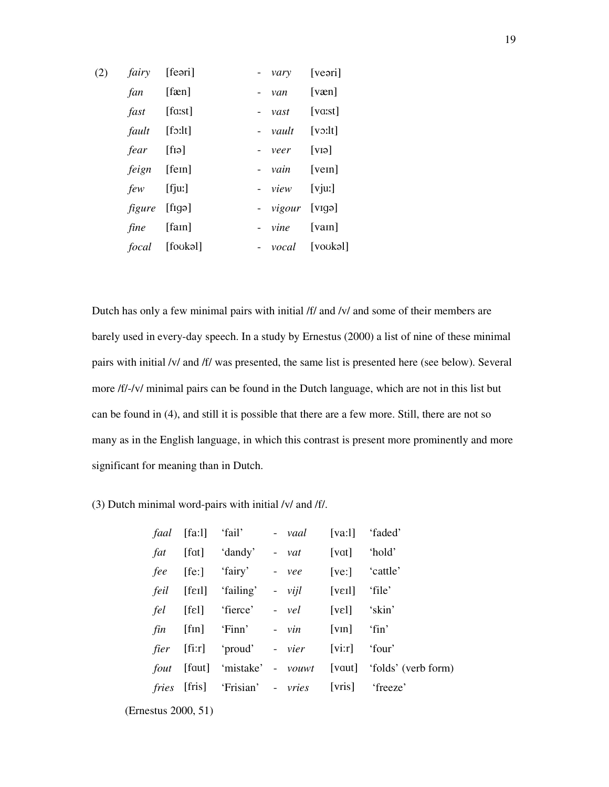| (2) | <i>fairy</i> [feəri] |                       | - <i>vary</i> [veəri]    |                  |
|-----|----------------------|-----------------------|--------------------------|------------------|
|     | $fan$ [fæn]          |                       | - $van$ [væn]            |                  |
|     | <i>fast</i> [faːst]  |                       | - $vast$ [vast]          |                  |
|     | <i>fault</i> [fo:lt] |                       | - $vault$ [voilt]        |                  |
|     | <i>fear</i> [fiə]    |                       | - $veer$ [VI $\varphi$ ] |                  |
|     | <i>feign</i> [fem]   |                       | - $vain$ [vem]           |                  |
|     | <i>few</i> [fjuː]    |                       | - $view$ [vjuː]          |                  |
|     | <i>figure</i> [figə] |                       | - <i>vigour</i> [vigə]   |                  |
|     | <i>fine</i> [fam]    |                       | - $vine$ [vam]           |                  |
|     |                      | <i>focal</i> [foukəl] |                          | - vocal [voukəl] |
|     |                      |                       |                          |                  |

Dutch has only a few minimal pairs with initial /f/ and /v/ and some of their members are barely used in every-day speech. In a study by Ernestus (2000) a list of nine of these minimal pairs with initial /v/ and /f/ was presented, the same list is presented here (see below). Several more /f/-/v/ minimal pairs can be found in the Dutch language, which are not in this list but can be found in (4), and still it is possible that there are a few more. Still, there are not so many as in the English language, in which this contrast is present more prominently and more significant for meaning than in Dutch.

#### (3) Dutch minimal word-pairs with initial /v/ and /f/.

|  | <i>faal</i> [fa:1] 'fail' - vaal [va:1] 'faded'          |  |                                                                        |
|--|----------------------------------------------------------|--|------------------------------------------------------------------------|
|  | <i>fat</i> [fat] 'dandy' - vat [vat] 'hold'              |  |                                                                        |
|  | <i>fee</i> [fe:] 'fairy' - vee [ve:] 'cattle'            |  |                                                                        |
|  | <i>feil</i> [feil] 'failing' - <i>vijl</i> [veil] 'file' |  |                                                                        |
|  | fel [fɛl] 'fierce' - vel [vɛl] 'skin'                    |  |                                                                        |
|  | $fin$ [fin] 'Finn' - $vin$ [vin] 'fin'                   |  |                                                                        |
|  | <i>fier</i> [fi:r] 'proud' - <i>vier</i> [vi:r] 'four'   |  |                                                                        |
|  |                                                          |  | <i>fout</i> [faut] 'mistake' - <i>vouwt</i> [vaut] 'folds' (verb form) |
|  | fries [fris] 'Frisian' - vries [vris] 'freeze'           |  |                                                                        |

<sup>(</sup>Ernestus 2000, 51)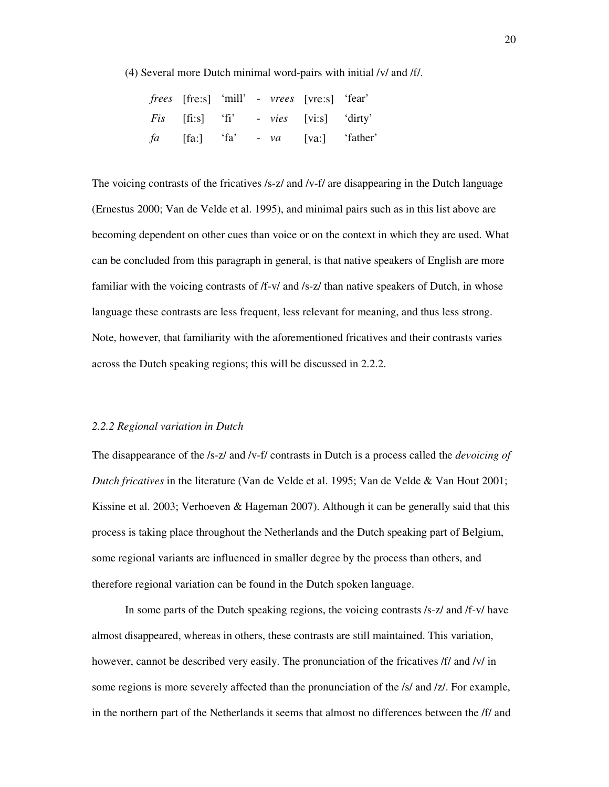(4) Several more Dutch minimal word-pairs with initial /v/ and /f/.

|  |  | <i>frees</i> [fre:s] 'mill' - <i>vrees</i> [vre:s] 'fear' |  |
|--|--|-----------------------------------------------------------|--|
|  |  | <i>Fis</i> [fi:s] 'fi' - <i>vies</i> [vi:s] 'dirty'       |  |
|  |  | <i>fa</i> [fa:] 'fa' - va [va:] 'father'                  |  |

The voicing contrasts of the fricatives /s-z/ and /v-f/ are disappearing in the Dutch language (Ernestus 2000; Van de Velde et al. 1995), and minimal pairs such as in this list above are becoming dependent on other cues than voice or on the context in which they are used. What can be concluded from this paragraph in general, is that native speakers of English are more familiar with the voicing contrasts of /f-v/ and /s-z/ than native speakers of Dutch, in whose language these contrasts are less frequent, less relevant for meaning, and thus less strong. Note, however, that familiarity with the aforementioned fricatives and their contrasts varies across the Dutch speaking regions; this will be discussed in 2.2.2.

#### *2.2.2 Regional variation in Dutch*

The disappearance of the /s-z/ and /v-f/ contrasts in Dutch is a process called the *devoicing of Dutch fricatives* in the literature (Van de Velde et al. 1995; Van de Velde & Van Hout 2001; Kissine et al. 2003; Verhoeven & Hageman 2007). Although it can be generally said that this process is taking place throughout the Netherlands and the Dutch speaking part of Belgium, some regional variants are influenced in smaller degree by the process than others, and therefore regional variation can be found in the Dutch spoken language.

In some parts of the Dutch speaking regions, the voicing contrasts /s-z/ and /f-v/ have almost disappeared, whereas in others, these contrasts are still maintained. This variation, however, cannot be described very easily. The pronunciation of the fricatives /f/ and /v/ in some regions is more severely affected than the pronunciation of the /s/ and /z/. For example, in the northern part of the Netherlands it seems that almost no differences between the /f/ and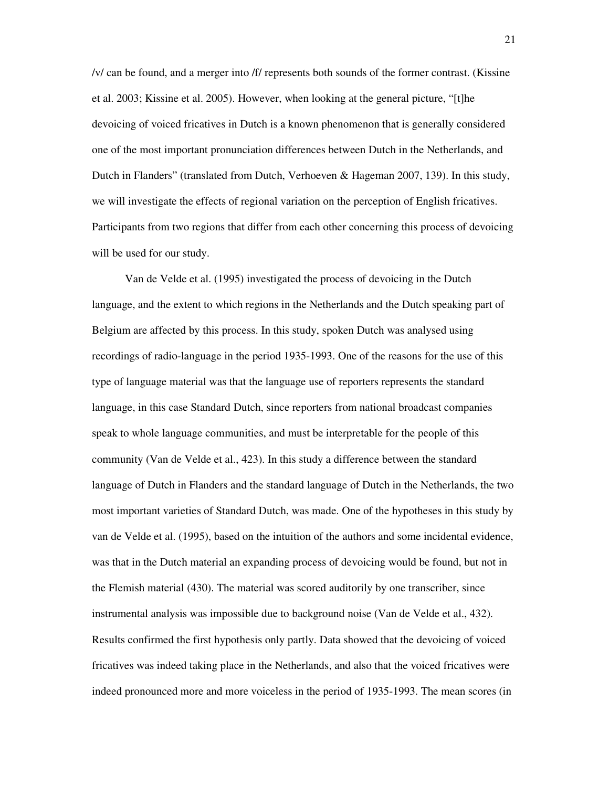/v/ can be found, and a merger into /f/ represents both sounds of the former contrast. (Kissine et al. 2003; Kissine et al. 2005). However, when looking at the general picture, "[t]he devoicing of voiced fricatives in Dutch is a known phenomenon that is generally considered one of the most important pronunciation differences between Dutch in the Netherlands, and Dutch in Flanders" (translated from Dutch, Verhoeven & Hageman 2007, 139). In this study, we will investigate the effects of regional variation on the perception of English fricatives. Participants from two regions that differ from each other concerning this process of devoicing will be used for our study.

Van de Velde et al. (1995) investigated the process of devoicing in the Dutch language, and the extent to which regions in the Netherlands and the Dutch speaking part of Belgium are affected by this process. In this study, spoken Dutch was analysed using recordings of radio-language in the period 1935-1993. One of the reasons for the use of this type of language material was that the language use of reporters represents the standard language, in this case Standard Dutch, since reporters from national broadcast companies speak to whole language communities, and must be interpretable for the people of this community (Van de Velde et al., 423). In this study a difference between the standard language of Dutch in Flanders and the standard language of Dutch in the Netherlands, the two most important varieties of Standard Dutch, was made. One of the hypotheses in this study by van de Velde et al. (1995), based on the intuition of the authors and some incidental evidence, was that in the Dutch material an expanding process of devoicing would be found, but not in the Flemish material (430). The material was scored auditorily by one transcriber, since instrumental analysis was impossible due to background noise (Van de Velde et al., 432). Results confirmed the first hypothesis only partly. Data showed that the devoicing of voiced fricatives was indeed taking place in the Netherlands, and also that the voiced fricatives were indeed pronounced more and more voiceless in the period of 1935-1993. The mean scores (in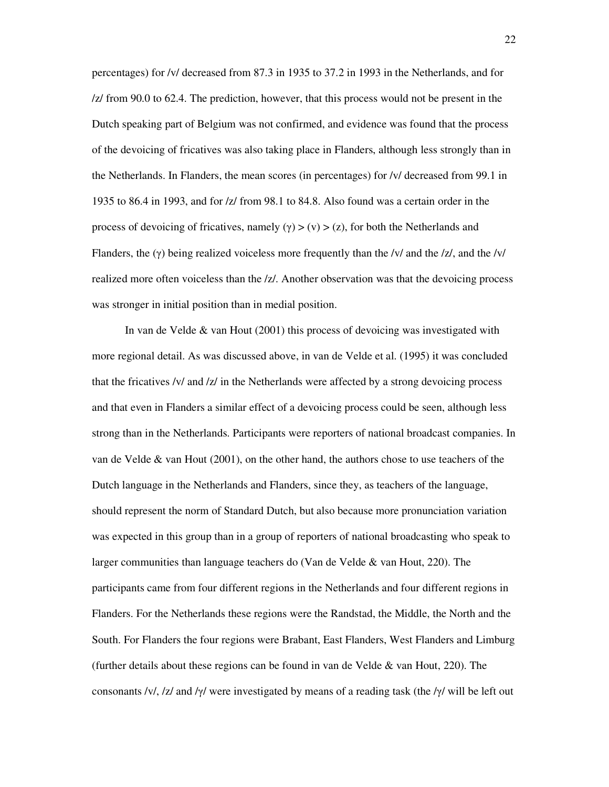percentages) for /v/ decreased from 87.3 in 1935 to 37.2 in 1993 in the Netherlands, and for /z/ from 90.0 to 62.4. The prediction, however, that this process would not be present in the Dutch speaking part of Belgium was not confirmed, and evidence was found that the process of the devoicing of fricatives was also taking place in Flanders, although less strongly than in the Netherlands. In Flanders, the mean scores (in percentages) for /v/ decreased from 99.1 in 1935 to 86.4 in 1993, and for /z/ from 98.1 to 84.8. Also found was a certain order in the process of devoicing of fricatives, namely  $(y) > (y) > (z)$ , for both the Netherlands and Flanders, the (γ) being realized voiceless more frequently than the /v/ and the /z/, and the /v/ realized more often voiceless than the /z/. Another observation was that the devoicing process was stronger in initial position than in medial position.

 In van de Velde & van Hout (2001) this process of devoicing was investigated with more regional detail. As was discussed above, in van de Velde et al. (1995) it was concluded that the fricatives /v/ and /z/ in the Netherlands were affected by a strong devoicing process and that even in Flanders a similar effect of a devoicing process could be seen, although less strong than in the Netherlands. Participants were reporters of national broadcast companies. In van de Velde & van Hout (2001), on the other hand, the authors chose to use teachers of the Dutch language in the Netherlands and Flanders, since they, as teachers of the language, should represent the norm of Standard Dutch, but also because more pronunciation variation was expected in this group than in a group of reporters of national broadcasting who speak to larger communities than language teachers do (Van de Velde & van Hout, 220). The participants came from four different regions in the Netherlands and four different regions in Flanders. For the Netherlands these regions were the Randstad, the Middle, the North and the South. For Flanders the four regions were Brabant, East Flanders, West Flanders and Limburg (further details about these regions can be found in van de Velde & van Hout, 220). The consonants /v/, /z/ and / $\gamma$ / were investigated by means of a reading task (the / $\gamma$ / will be left out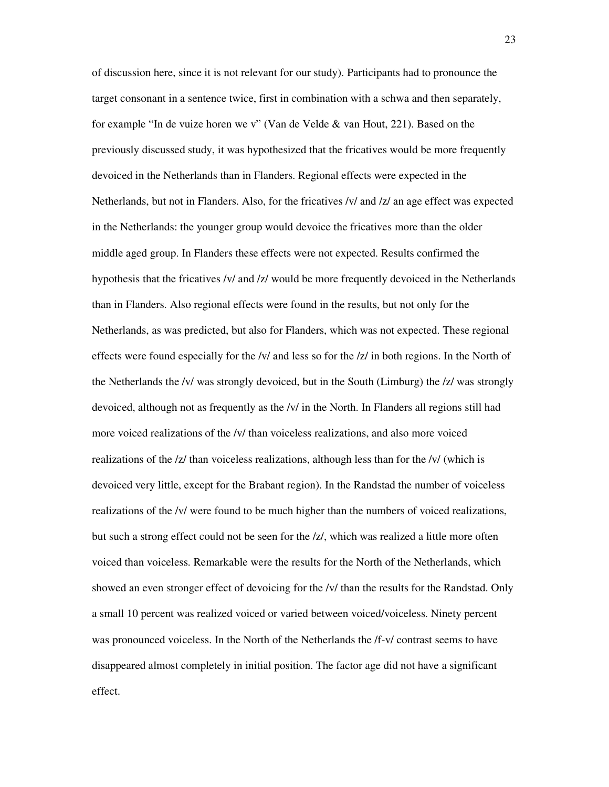of discussion here, since it is not relevant for our study). Participants had to pronounce the target consonant in a sentence twice, first in combination with a schwa and then separately, for example "In de vuize horen we v" (Van de Velde & van Hout, 221). Based on the previously discussed study, it was hypothesized that the fricatives would be more frequently devoiced in the Netherlands than in Flanders. Regional effects were expected in the Netherlands, but not in Flanders. Also, for the fricatives /v/ and /z/ an age effect was expected in the Netherlands: the younger group would devoice the fricatives more than the older middle aged group. In Flanders these effects were not expected. Results confirmed the hypothesis that the fricatives /v/ and /z/ would be more frequently devoiced in the Netherlands than in Flanders. Also regional effects were found in the results, but not only for the Netherlands, as was predicted, but also for Flanders, which was not expected. These regional effects were found especially for the /v/ and less so for the /z/ in both regions. In the North of the Netherlands the /v/ was strongly devoiced, but in the South (Limburg) the /z/ was strongly devoiced, although not as frequently as the /v/ in the North. In Flanders all regions still had more voiced realizations of the /v/ than voiceless realizations, and also more voiced realizations of the /z/ than voiceless realizations, although less than for the /v/ (which is devoiced very little, except for the Brabant region). In the Randstad the number of voiceless realizations of the /v/ were found to be much higher than the numbers of voiced realizations, but such a strong effect could not be seen for the /z/, which was realized a little more often voiced than voiceless. Remarkable were the results for the North of the Netherlands, which showed an even stronger effect of devoicing for the /v/ than the results for the Randstad. Only a small 10 percent was realized voiced or varied between voiced/voiceless. Ninety percent was pronounced voiceless. In the North of the Netherlands the /f-v/ contrast seems to have disappeared almost completely in initial position. The factor age did not have a significant effect.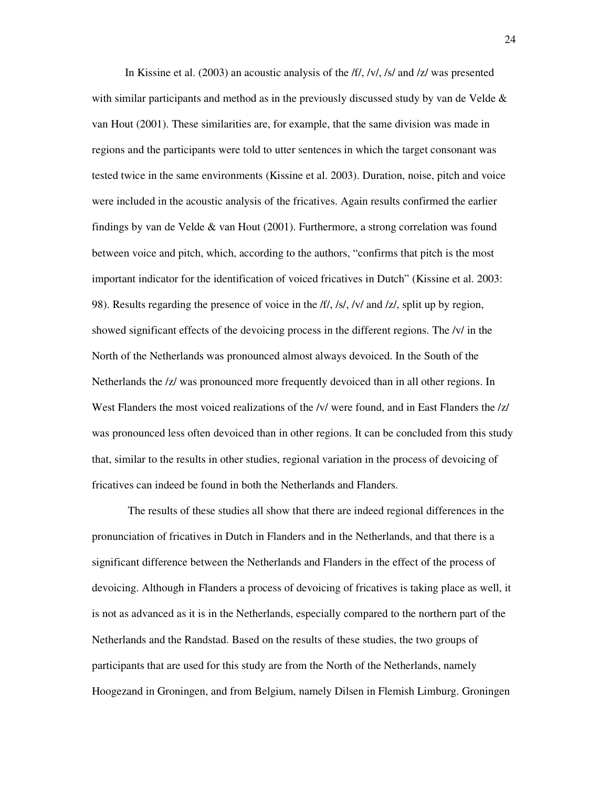In Kissine et al. (2003) an acoustic analysis of the *ff*, /v/, /s/ and /z/ was presented with similar participants and method as in the previously discussed study by van de Velde & van Hout (2001). These similarities are, for example, that the same division was made in regions and the participants were told to utter sentences in which the target consonant was tested twice in the same environments (Kissine et al. 2003). Duration, noise, pitch and voice were included in the acoustic analysis of the fricatives. Again results confirmed the earlier findings by van de Velde & van Hout (2001). Furthermore, a strong correlation was found between voice and pitch, which, according to the authors, "confirms that pitch is the most important indicator for the identification of voiced fricatives in Dutch" (Kissine et al. 2003: 98). Results regarding the presence of voice in the /f/, /s/, /v/ and /z/, split up by region, showed significant effects of the devoicing process in the different regions. The /v/ in the North of the Netherlands was pronounced almost always devoiced. In the South of the Netherlands the /z/ was pronounced more frequently devoiced than in all other regions. In West Flanders the most voiced realizations of the /v/ were found, and in East Flanders the /z/ was pronounced less often devoiced than in other regions. It can be concluded from this study that, similar to the results in other studies, regional variation in the process of devoicing of fricatives can indeed be found in both the Netherlands and Flanders.

 The results of these studies all show that there are indeed regional differences in the pronunciation of fricatives in Dutch in Flanders and in the Netherlands, and that there is a significant difference between the Netherlands and Flanders in the effect of the process of devoicing. Although in Flanders a process of devoicing of fricatives is taking place as well, it is not as advanced as it is in the Netherlands, especially compared to the northern part of the Netherlands and the Randstad. Based on the results of these studies, the two groups of participants that are used for this study are from the North of the Netherlands, namely Hoogezand in Groningen, and from Belgium, namely Dilsen in Flemish Limburg. Groningen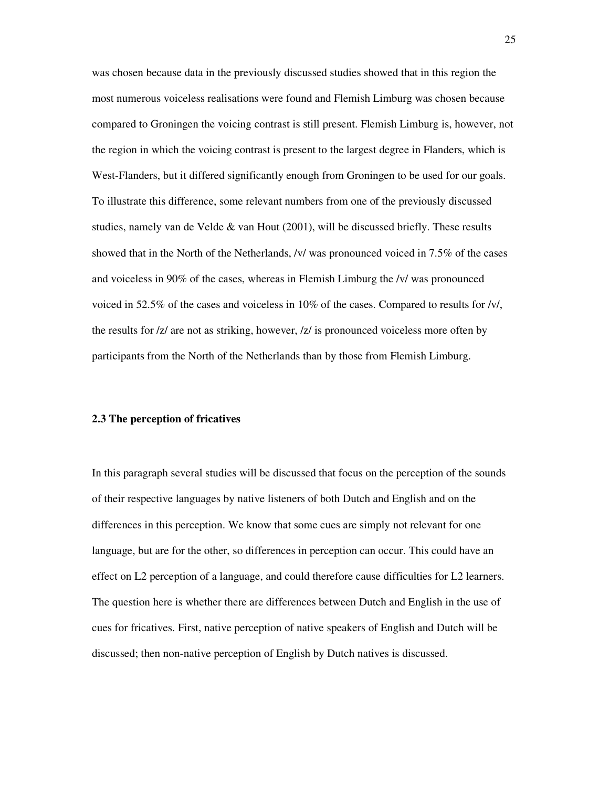was chosen because data in the previously discussed studies showed that in this region the most numerous voiceless realisations were found and Flemish Limburg was chosen because compared to Groningen the voicing contrast is still present. Flemish Limburg is, however, not the region in which the voicing contrast is present to the largest degree in Flanders, which is West-Flanders, but it differed significantly enough from Groningen to be used for our goals. To illustrate this difference, some relevant numbers from one of the previously discussed studies, namely van de Velde & van Hout (2001), will be discussed briefly. These results showed that in the North of the Netherlands, /v/ was pronounced voiced in 7.5% of the cases and voiceless in 90% of the cases, whereas in Flemish Limburg the /v/ was pronounced voiced in 52.5% of the cases and voiceless in 10% of the cases. Compared to results for /v/, the results for /z/ are not as striking, however, /z/ is pronounced voiceless more often by participants from the North of the Netherlands than by those from Flemish Limburg.

#### **2.3 The perception of fricatives**

In this paragraph several studies will be discussed that focus on the perception of the sounds of their respective languages by native listeners of both Dutch and English and on the differences in this perception. We know that some cues are simply not relevant for one language, but are for the other, so differences in perception can occur. This could have an effect on L2 perception of a language, and could therefore cause difficulties for L2 learners. The question here is whether there are differences between Dutch and English in the use of cues for fricatives. First, native perception of native speakers of English and Dutch will be discussed; then non-native perception of English by Dutch natives is discussed.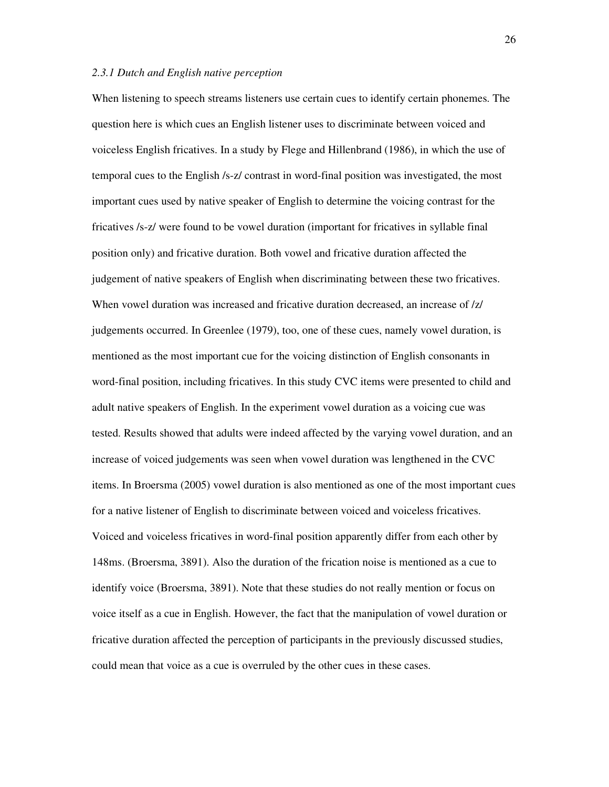#### *2.3.1 Dutch and English native perception*

When listening to speech streams listeners use certain cues to identify certain phonemes. The question here is which cues an English listener uses to discriminate between voiced and voiceless English fricatives. In a study by Flege and Hillenbrand (1986), in which the use of temporal cues to the English /s-z/ contrast in word-final position was investigated, the most important cues used by native speaker of English to determine the voicing contrast for the fricatives /s-z/ were found to be vowel duration (important for fricatives in syllable final position only) and fricative duration. Both vowel and fricative duration affected the judgement of native speakers of English when discriminating between these two fricatives. When vowel duration was increased and fricative duration decreased, an increase of  $\frac{z}{z}$ judgements occurred. In Greenlee (1979), too, one of these cues, namely vowel duration, is mentioned as the most important cue for the voicing distinction of English consonants in word-final position, including fricatives. In this study CVC items were presented to child and adult native speakers of English. In the experiment vowel duration as a voicing cue was tested. Results showed that adults were indeed affected by the varying vowel duration, and an increase of voiced judgements was seen when vowel duration was lengthened in the CVC items. In Broersma (2005) vowel duration is also mentioned as one of the most important cues for a native listener of English to discriminate between voiced and voiceless fricatives. Voiced and voiceless fricatives in word-final position apparently differ from each other by 148ms. (Broersma, 3891). Also the duration of the frication noise is mentioned as a cue to identify voice (Broersma, 3891). Note that these studies do not really mention or focus on voice itself as a cue in English. However, the fact that the manipulation of vowel duration or fricative duration affected the perception of participants in the previously discussed studies, could mean that voice as a cue is overruled by the other cues in these cases.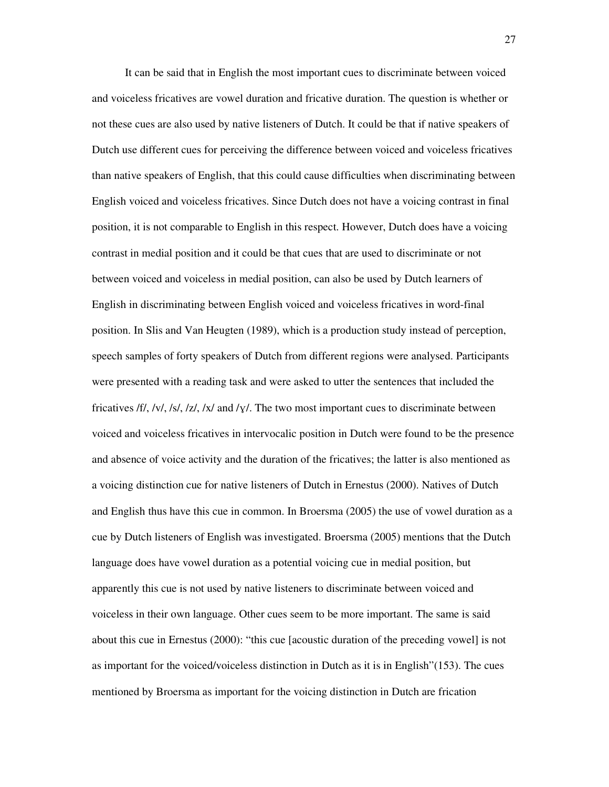It can be said that in English the most important cues to discriminate between voiced and voiceless fricatives are vowel duration and fricative duration. The question is whether or not these cues are also used by native listeners of Dutch. It could be that if native speakers of Dutch use different cues for perceiving the difference between voiced and voiceless fricatives than native speakers of English, that this could cause difficulties when discriminating between English voiced and voiceless fricatives. Since Dutch does not have a voicing contrast in final position, it is not comparable to English in this respect. However, Dutch does have a voicing contrast in medial position and it could be that cues that are used to discriminate or not between voiced and voiceless in medial position, can also be used by Dutch learners of English in discriminating between English voiced and voiceless fricatives in word-final position. In Slis and Van Heugten (1989), which is a production study instead of perception, speech samples of forty speakers of Dutch from different regions were analysed. Participants were presented with a reading task and were asked to utter the sentences that included the fricatives /f/, /v/, /s/, /z/, /x/ and /y/. The two most important cues to discriminate between voiced and voiceless fricatives in intervocalic position in Dutch were found to be the presence and absence of voice activity and the duration of the fricatives; the latter is also mentioned as a voicing distinction cue for native listeners of Dutch in Ernestus (2000). Natives of Dutch and English thus have this cue in common. In Broersma (2005) the use of vowel duration as a cue by Dutch listeners of English was investigated. Broersma (2005) mentions that the Dutch language does have vowel duration as a potential voicing cue in medial position, but apparently this cue is not used by native listeners to discriminate between voiced and voiceless in their own language. Other cues seem to be more important. The same is said about this cue in Ernestus (2000): "this cue [acoustic duration of the preceding vowel] is not as important for the voiced/voiceless distinction in Dutch as it is in English"(153). The cues mentioned by Broersma as important for the voicing distinction in Dutch are frication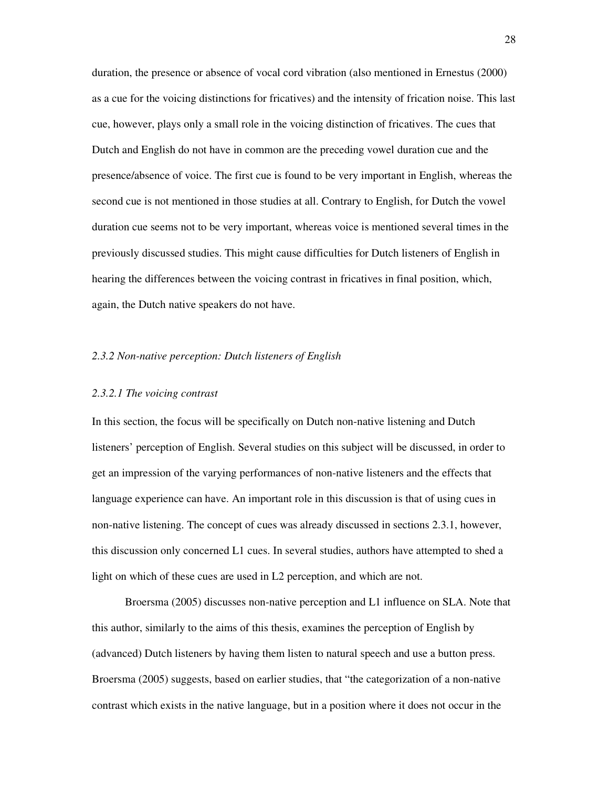duration, the presence or absence of vocal cord vibration (also mentioned in Ernestus (2000) as a cue for the voicing distinctions for fricatives) and the intensity of frication noise. This last cue, however, plays only a small role in the voicing distinction of fricatives. The cues that Dutch and English do not have in common are the preceding vowel duration cue and the presence/absence of voice. The first cue is found to be very important in English, whereas the second cue is not mentioned in those studies at all. Contrary to English, for Dutch the vowel duration cue seems not to be very important, whereas voice is mentioned several times in the previously discussed studies. This might cause difficulties for Dutch listeners of English in hearing the differences between the voicing contrast in fricatives in final position, which, again, the Dutch native speakers do not have.

#### *2.3.2 Non-native perception: Dutch listeners of English*

#### *2.3.2.1 The voicing contrast*

In this section, the focus will be specifically on Dutch non-native listening and Dutch listeners' perception of English. Several studies on this subject will be discussed, in order to get an impression of the varying performances of non-native listeners and the effects that language experience can have. An important role in this discussion is that of using cues in non-native listening. The concept of cues was already discussed in sections 2.3.1, however, this discussion only concerned L1 cues. In several studies, authors have attempted to shed a light on which of these cues are used in L2 perception, and which are not.

Broersma (2005) discusses non-native perception and L1 influence on SLA. Note that this author, similarly to the aims of this thesis, examines the perception of English by (advanced) Dutch listeners by having them listen to natural speech and use a button press. Broersma (2005) suggests, based on earlier studies, that "the categorization of a non-native contrast which exists in the native language, but in a position where it does not occur in the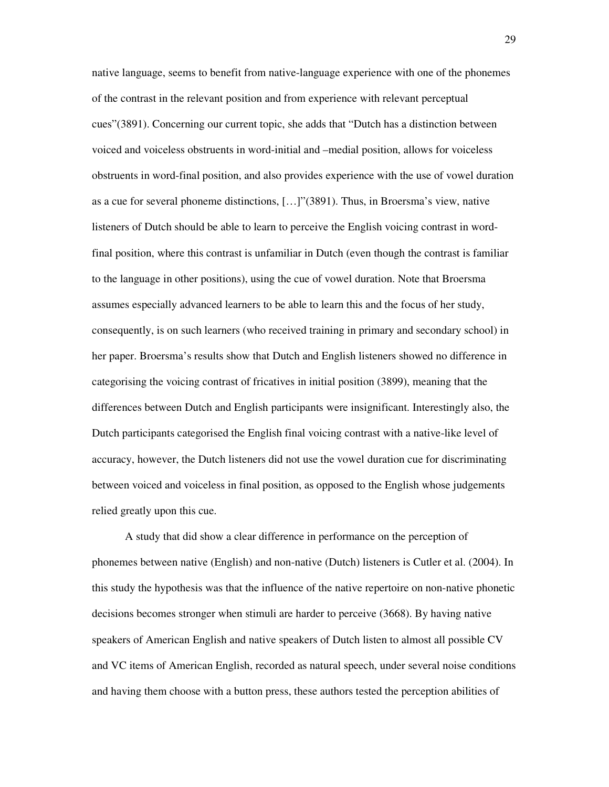native language, seems to benefit from native-language experience with one of the phonemes of the contrast in the relevant position and from experience with relevant perceptual cues"(3891). Concerning our current topic, she adds that "Dutch has a distinction between voiced and voiceless obstruents in word-initial and –medial position, allows for voiceless obstruents in word-final position, and also provides experience with the use of vowel duration as a cue for several phoneme distinctions, […]"(3891). Thus, in Broersma's view, native listeners of Dutch should be able to learn to perceive the English voicing contrast in wordfinal position, where this contrast is unfamiliar in Dutch (even though the contrast is familiar to the language in other positions), using the cue of vowel duration. Note that Broersma assumes especially advanced learners to be able to learn this and the focus of her study, consequently, is on such learners (who received training in primary and secondary school) in her paper. Broersma's results show that Dutch and English listeners showed no difference in categorising the voicing contrast of fricatives in initial position (3899), meaning that the differences between Dutch and English participants were insignificant. Interestingly also, the Dutch participants categorised the English final voicing contrast with a native-like level of accuracy, however, the Dutch listeners did not use the vowel duration cue for discriminating between voiced and voiceless in final position, as opposed to the English whose judgements relied greatly upon this cue.

A study that did show a clear difference in performance on the perception of phonemes between native (English) and non-native (Dutch) listeners is Cutler et al. (2004). In this study the hypothesis was that the influence of the native repertoire on non-native phonetic decisions becomes stronger when stimuli are harder to perceive (3668). By having native speakers of American English and native speakers of Dutch listen to almost all possible CV and VC items of American English, recorded as natural speech, under several noise conditions and having them choose with a button press, these authors tested the perception abilities of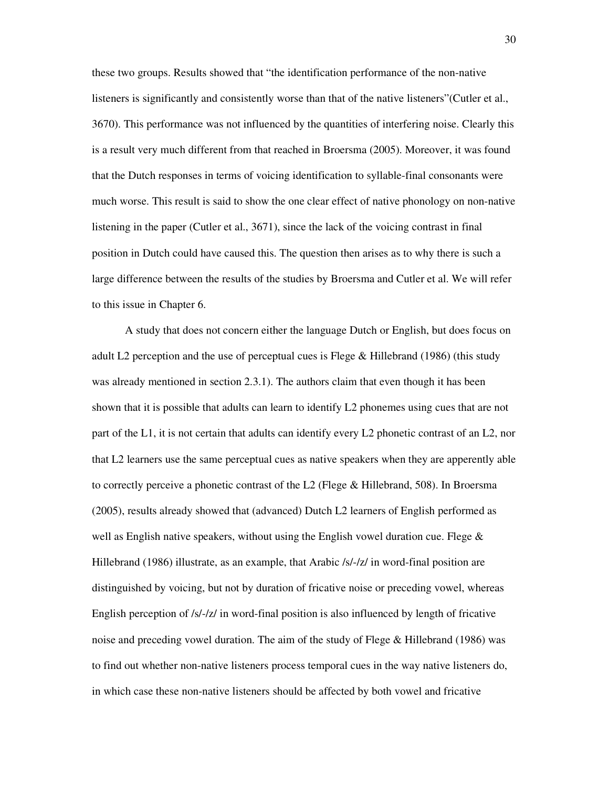these two groups. Results showed that "the identification performance of the non-native listeners is significantly and consistently worse than that of the native listeners"(Cutler et al., 3670). This performance was not influenced by the quantities of interfering noise. Clearly this is a result very much different from that reached in Broersma (2005). Moreover, it was found that the Dutch responses in terms of voicing identification to syllable-final consonants were much worse. This result is said to show the one clear effect of native phonology on non-native listening in the paper (Cutler et al., 3671), since the lack of the voicing contrast in final position in Dutch could have caused this. The question then arises as to why there is such a large difference between the results of the studies by Broersma and Cutler et al. We will refer to this issue in Chapter 6.

A study that does not concern either the language Dutch or English, but does focus on adult L2 perception and the use of perceptual cues is Flege & Hillebrand (1986) (this study was already mentioned in section 2.3.1). The authors claim that even though it has been shown that it is possible that adults can learn to identify L2 phonemes using cues that are not part of the L1, it is not certain that adults can identify every L2 phonetic contrast of an L2, nor that L2 learners use the same perceptual cues as native speakers when they are apperently able to correctly perceive a phonetic contrast of the L2 (Flege & Hillebrand, 508). In Broersma (2005), results already showed that (advanced) Dutch L2 learners of English performed as well as English native speakers, without using the English vowel duration cue. Flege  $\&$ Hillebrand (1986) illustrate, as an example, that Arabic /s/-/z/ in word-final position are distinguished by voicing, but not by duration of fricative noise or preceding vowel, whereas English perception of  $/s$ -/z/ in word-final position is also influenced by length of fricative noise and preceding vowel duration. The aim of the study of Flege & Hillebrand (1986) was to find out whether non-native listeners process temporal cues in the way native listeners do, in which case these non-native listeners should be affected by both vowel and fricative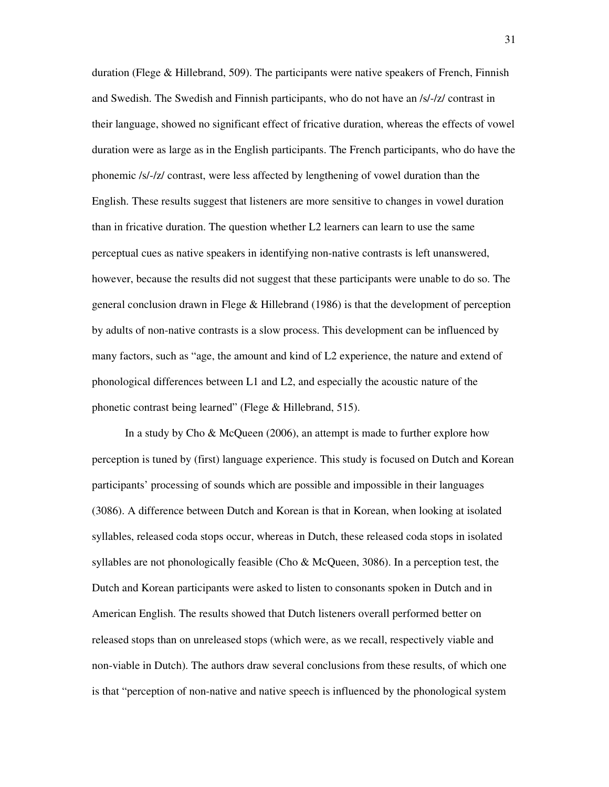duration (Flege & Hillebrand, 509). The participants were native speakers of French, Finnish and Swedish. The Swedish and Finnish participants, who do not have an /s/-/z/ contrast in their language, showed no significant effect of fricative duration, whereas the effects of vowel duration were as large as in the English participants. The French participants, who do have the phonemic /s/-/z/ contrast, were less affected by lengthening of vowel duration than the English. These results suggest that listeners are more sensitive to changes in vowel duration than in fricative duration. The question whether L2 learners can learn to use the same perceptual cues as native speakers in identifying non-native contrasts is left unanswered, however, because the results did not suggest that these participants were unable to do so. The general conclusion drawn in Flege & Hillebrand (1986) is that the development of perception by adults of non-native contrasts is a slow process. This development can be influenced by many factors, such as "age, the amount and kind of L2 experience, the nature and extend of phonological differences between L1 and L2, and especially the acoustic nature of the phonetic contrast being learned" (Flege & Hillebrand, 515).

In a study by Cho & McQueen (2006), an attempt is made to further explore how perception is tuned by (first) language experience. This study is focused on Dutch and Korean participants' processing of sounds which are possible and impossible in their languages (3086). A difference between Dutch and Korean is that in Korean, when looking at isolated syllables, released coda stops occur, whereas in Dutch, these released coda stops in isolated syllables are not phonologically feasible (Cho & McQueen, 3086). In a perception test, the Dutch and Korean participants were asked to listen to consonants spoken in Dutch and in American English. The results showed that Dutch listeners overall performed better on released stops than on unreleased stops (which were, as we recall, respectively viable and non-viable in Dutch). The authors draw several conclusions from these results, of which one is that "perception of non-native and native speech is influenced by the phonological system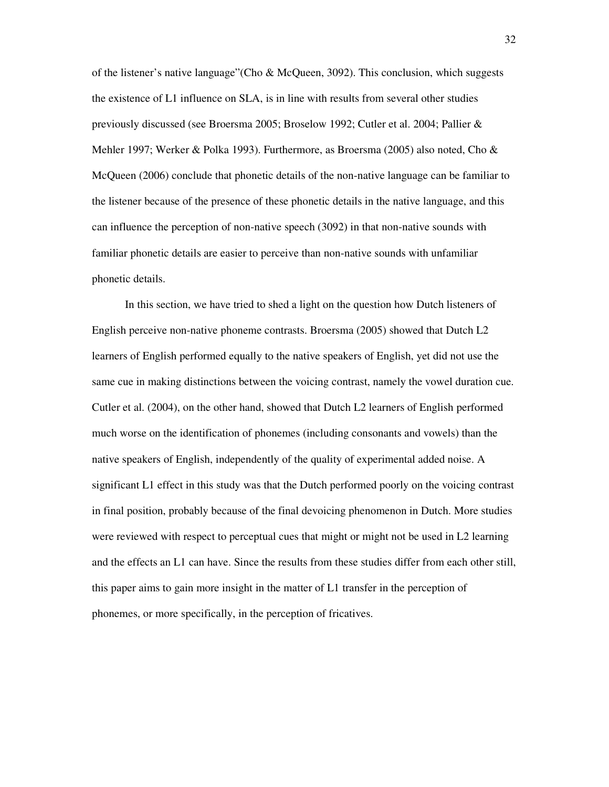of the listener's native language"(Cho & McQueen, 3092). This conclusion, which suggests the existence of L1 influence on SLA, is in line with results from several other studies previously discussed (see Broersma 2005; Broselow 1992; Cutler et al. 2004; Pallier & Mehler 1997; Werker & Polka 1993). Furthermore, as Broersma (2005) also noted, Cho & McQueen (2006) conclude that phonetic details of the non-native language can be familiar to the listener because of the presence of these phonetic details in the native language, and this can influence the perception of non-native speech (3092) in that non-native sounds with familiar phonetic details are easier to perceive than non-native sounds with unfamiliar phonetic details.

In this section, we have tried to shed a light on the question how Dutch listeners of English perceive non-native phoneme contrasts. Broersma (2005) showed that Dutch L2 learners of English performed equally to the native speakers of English, yet did not use the same cue in making distinctions between the voicing contrast, namely the vowel duration cue. Cutler et al. (2004), on the other hand, showed that Dutch L2 learners of English performed much worse on the identification of phonemes (including consonants and vowels) than the native speakers of English, independently of the quality of experimental added noise. A significant L1 effect in this study was that the Dutch performed poorly on the voicing contrast in final position, probably because of the final devoicing phenomenon in Dutch. More studies were reviewed with respect to perceptual cues that might or might not be used in L2 learning and the effects an L1 can have. Since the results from these studies differ from each other still, this paper aims to gain more insight in the matter of L1 transfer in the perception of phonemes, or more specifically, in the perception of fricatives.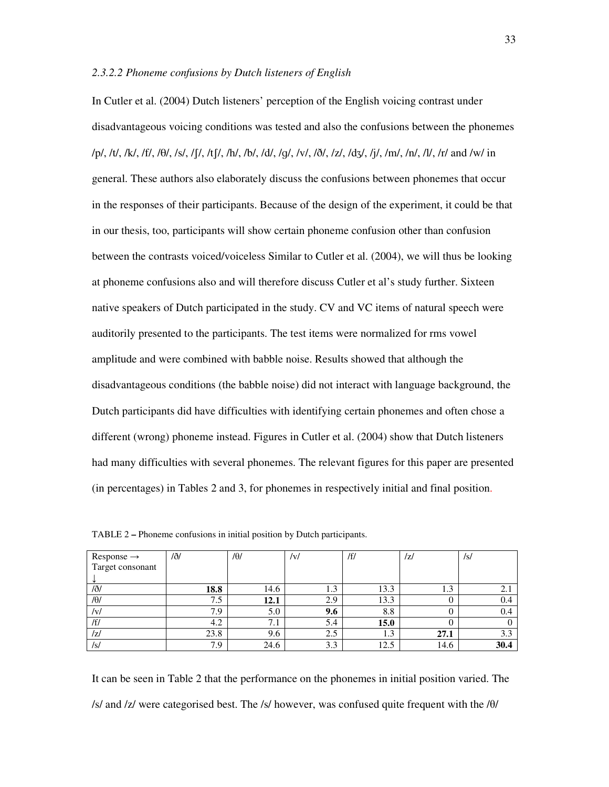#### *2.3.2.2 Phoneme confusions by Dutch listeners of English*

In Cutler et al. (2004) Dutch listeners' perception of the English voicing contrast under disadvantageous voicing conditions was tested and also the confusions between the phonemes /p/, /t/, /k/, /f/, /T/, /s/, /S/, /tS/, /h/, /b/, /d/, /g/, /v/, /ð/, /z/, /dZ/, /j/, /m/, /n/, /l/, /r/ and /w/ in general. These authors also elaborately discuss the confusions between phonemes that occur in the responses of their participants. Because of the design of the experiment, it could be that in our thesis, too, participants will show certain phoneme confusion other than confusion between the contrasts voiced/voiceless Similar to Cutler et al. (2004), we will thus be looking at phoneme confusions also and will therefore discuss Cutler et al's study further. Sixteen native speakers of Dutch participated in the study. CV and VC items of natural speech were auditorily presented to the participants. The test items were normalized for rms vowel amplitude and were combined with babble noise. Results showed that although the disadvantageous conditions (the babble noise) did not interact with language background, the Dutch participants did have difficulties with identifying certain phonemes and often chose a different (wrong) phoneme instead. Figures in Cutler et al. (2004) show that Dutch listeners had many difficulties with several phonemes. The relevant figures for this paper are presented (in percentages) in Tables 2 and 3, for phonemes in respectively initial and final position.

| $Response \rightarrow$ | /ð/  | $/ \theta$ / | v   | /f/         | /z/        | /s/  |
|------------------------|------|--------------|-----|-------------|------------|------|
| Target consonant       |      |              |     |             |            |      |
|                        |      |              |     |             |            |      |
| /eth                   | 18.8 | 14.6         | 1.3 | 13.3        | ר ו<br>1.3 | 2.1  |
| $/ \theta$             | 7.5  | 12.1         | 2.9 | 13.3        |            | 0.4  |
| v                      | 7.9  | 5.0          | 9.6 | 8.8         |            | 0.4  |
| /f/                    | 4.2  | 7.1          | 5.4 | <b>15.0</b> |            |      |
| /z/                    | 23.8 | 9.6          | 2.5 | 1.3         | 27.1       | 3.3  |
| /s/                    | 7.9  | 24.6         | 3.3 | 12.5        | 14.6       | 30.4 |

TABLE 2 **–** Phoneme confusions in initial position by Dutch participants.

It can be seen in Table 2 that the performance on the phonemes in initial position varied. The /s/ and /z/ were categorised best. The /s/ however, was confused quite frequent with the /θ/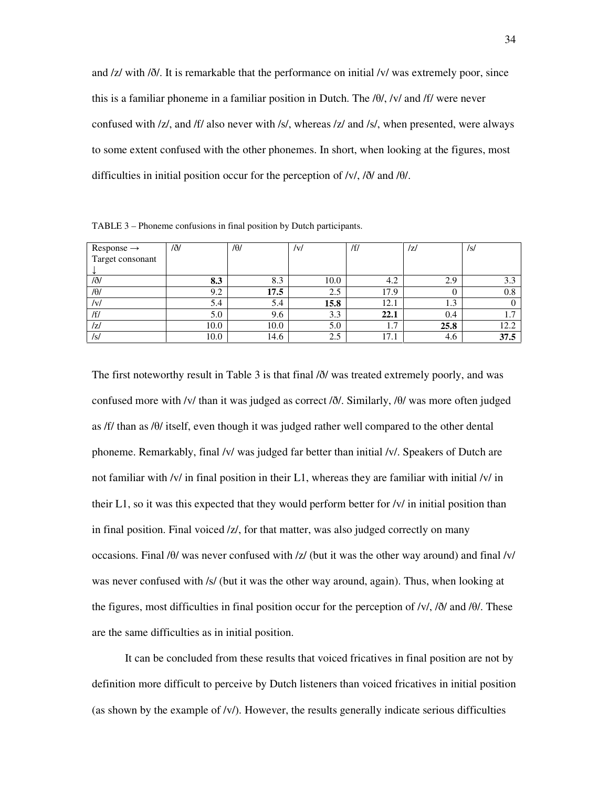and /z/ with /ð/. It is remarkable that the performance on initial /v/ was extremely poor, since this is a familiar phoneme in a familiar position in Dutch. The /θ/, /v/ and /f/ were never confused with /z/, and /f/ also never with /s/, whereas /z/ and /s/, when presented, were always to some extent confused with the other phonemes. In short, when looking at the figures, most difficulties in initial position occur for the perception of /v/, /ð/ and /θ/.

| $Response \rightarrow$ | /ð/  | $/ \theta$ / | /v/  | /f/                             | /z/  | /s/      |
|------------------------|------|--------------|------|---------------------------------|------|----------|
| Target consonant       |      |              |      |                                 |      |          |
|                        |      |              |      |                                 |      |          |
| /eth                   | 8.3  | 8.3          | 10.0 | 4.2                             | 2.9  | 3.3      |
| $/ \theta$             | 9.2  | 17.5         | 2.5  | 17.9                            |      | $_{0.8}$ |
| /V/                    | 5.4  | 5.4          | 15.8 | 12.1                            | 1.3  |          |
| /f/                    | 5.0  | 9.6          | 3.3  | 22.1                            | 0.4  | 1.1      |
| /z/                    | 10.0 | 10.0         | 5.0  | $\overline{\phantom{0}}$<br>1., | 25.8 | 12.2     |
| /s/                    | 10.0 | 14.6         | 2.5  | 17.1                            | 4.6  | 37.5     |

TABLE 3 – Phoneme confusions in final position by Dutch participants.

The first noteworthy result in Table 3 is that final /ð/ was treated extremely poorly, and was confused more with /v/ than it was judged as correct /ð/. Similarly, /θ/ was more often judged as /f/ than as /θ/ itself, even though it was judged rather well compared to the other dental phoneme. Remarkably, final /v/ was judged far better than initial /v/. Speakers of Dutch are not familiar with /v/ in final position in their L1, whereas they are familiar with initial /v/ in their L1, so it was this expected that they would perform better for /v/ in initial position than in final position. Final voiced /z/, for that matter, was also judged correctly on many occasions. Final /θ/ was never confused with /z/ (but it was the other way around) and final /v/ was never confused with /s/ (but it was the other way around, again). Thus, when looking at the figures, most difficulties in final position occur for the perception of /v/, /ð/ and /θ/. These are the same difficulties as in initial position.

It can be concluded from these results that voiced fricatives in final position are not by definition more difficult to perceive by Dutch listeners than voiced fricatives in initial position (as shown by the example of  $\langle v \rangle$ ). However, the results generally indicate serious difficulties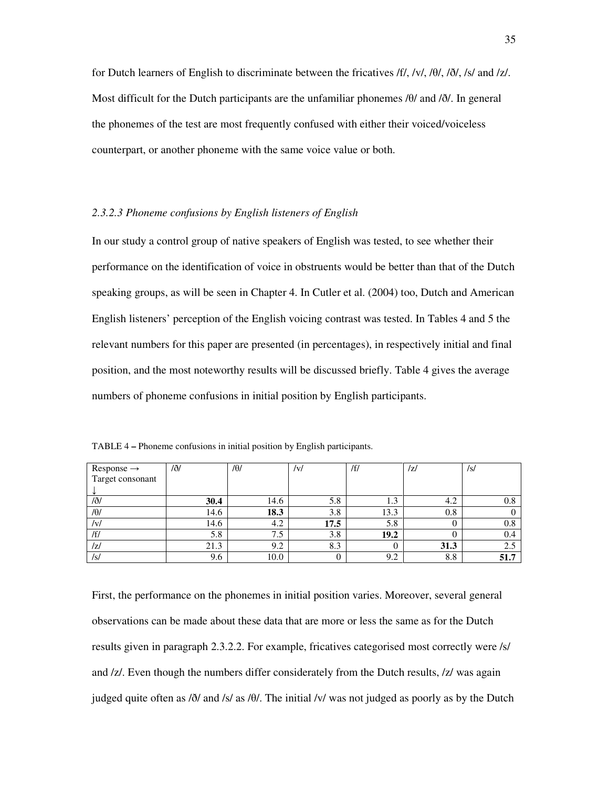for Dutch learners of English to discriminate between the fricatives /f/, /v/, /θ/, /ð/, /s/ and /z/. Most difficult for the Dutch participants are the unfamiliar phonemes /θ/ and /ð/. In general the phonemes of the test are most frequently confused with either their voiced/voiceless counterpart, or another phoneme with the same voice value or both.

#### *2.3.2.3 Phoneme confusions by English listeners of English*

In our study a control group of native speakers of English was tested, to see whether their performance on the identification of voice in obstruents would be better than that of the Dutch speaking groups, as will be seen in Chapter 4. In Cutler et al. (2004) too, Dutch and American English listeners' perception of the English voicing contrast was tested. In Tables 4 and 5 the relevant numbers for this paper are presented (in percentages), in respectively initial and final position, and the most noteworthy results will be discussed briefly. Table 4 gives the average numbers of phoneme confusions in initial position by English participants.

| $Response \rightarrow$ | /ð/  | $/ \theta$ | /v/  | /f/               | /z/  | /s/  |
|------------------------|------|------------|------|-------------------|------|------|
| Target consonant       |      |            |      |                   |      |      |
|                        |      |            |      |                   |      |      |
| /eth                   | 30.4 | 14.6       | 5.8  | $\sqrt{ }$<br>1.3 | 4.2  | 0.8  |
| $/ \theta /$           | 14.6 | 18.3       | 3.8  | 13.3              | 0.8  |      |
| V                      | 14.6 | 4.2        | 17.5 | 5.8               |      | 0.8  |
| /f/                    | 5.8  | ⇁<br>د. ا  | 3.8  | 19.2              |      | 0.4  |
| /Z/                    | 21.3 | 9.2        | 8.3  |                   | 31.3 | 2.5  |
| /s/                    | 9.6  | 10.0       |      | 9.2               | 8.8  | 51.7 |

TABLE 4 **–** Phoneme confusions in initial position by English participants.

First, the performance on the phonemes in initial position varies. Moreover, several general observations can be made about these data that are more or less the same as for the Dutch results given in paragraph 2.3.2.2. For example, fricatives categorised most correctly were /s/ and /z/. Even though the numbers differ considerately from the Dutch results, /z/ was again judged quite often as /ð/ and /s/ as /θ/. The initial /v/ was not judged as poorly as by the Dutch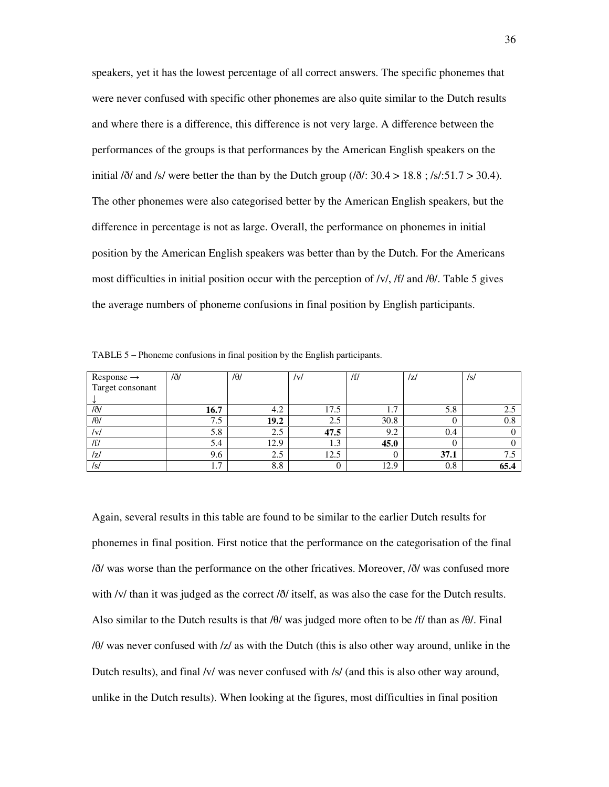speakers, yet it has the lowest percentage of all correct answers. The specific phonemes that were never confused with specific other phonemes are also quite similar to the Dutch results and where there is a difference, this difference is not very large. A difference between the performances of the groups is that performances by the American English speakers on the initial  $\delta$ / and /s/ were better the than by the Dutch group ( $\delta$ /: 30.4 > 18.8; /s/:51.7 > 30.4). The other phonemes were also categorised better by the American English speakers, but the difference in percentage is not as large. Overall, the performance on phonemes in initial position by the American English speakers was better than by the Dutch. For the Americans most difficulties in initial position occur with the perception of /v/, /f/ and /θ/. Table 5 gives the average numbers of phoneme confusions in final position by English participants.

| $Response \rightarrow$ | /ð/                   | $/ \theta$ / | V    | /f/  | z    | /s/  |
|------------------------|-----------------------|--------------|------|------|------|------|
| Target consonant       |                       |              |      |      |      |      |
|                        |                       |              |      |      |      |      |
| /ð/                    | 16.7                  | 4.2          | 17.5 |      | 5.8  | 2.5  |
| $/ \theta$             | 7.5                   | 19.2         | 2.5  | 30.8 |      | 0.8  |
| /v/                    | 5.8                   | 2.5          | 47.5 | 9.2  | 0.4  |      |
| /f/                    | 5.4                   | 12.9         | 1.9  | 45.0 |      |      |
| IzI                    | 9.6                   | 2.5          | 12.5 |      | 37.1 | 7.5  |
| /s/                    | $\overline{ }$<br>1.7 | 8.8          |      | 12.9 | 0.8  | 65.4 |

TABLE 5 **–** Phoneme confusions in final position by the English participants.

Again, several results in this table are found to be similar to the earlier Dutch results for phonemes in final position. First notice that the performance on the categorisation of the final /ð/ was worse than the performance on the other fricatives. Moreover, /ð/ was confused more with /v/ than it was judged as the correct / $\delta$ / itself, as was also the case for the Dutch results. Also similar to the Dutch results is that  $\theta$ / was judged more often to be /f/ than as /θ/. Final /θ/ was never confused with /z/ as with the Dutch (this is also other way around, unlike in the Dutch results), and final /v/ was never confused with /s/ (and this is also other way around, unlike in the Dutch results). When looking at the figures, most difficulties in final position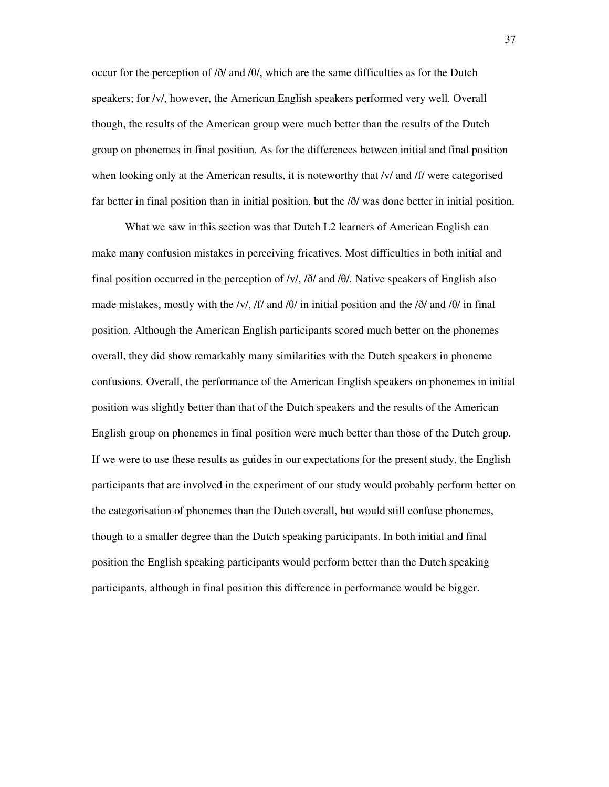occur for the perception of /ð/ and /θ/, which are the same difficulties as for the Dutch speakers; for /v/, however, the American English speakers performed very well. Overall though, the results of the American group were much better than the results of the Dutch group on phonemes in final position. As for the differences between initial and final position when looking only at the American results, it is noteworthy that /v/ and /f/ were categorised far better in final position than in initial position, but the /ð/ was done better in initial position.

 What we saw in this section was that Dutch L2 learners of American English can make many confusion mistakes in perceiving fricatives. Most difficulties in both initial and final position occurred in the perception of /v/,  $\delta$ / and /θ/. Native speakers of English also made mistakes, mostly with the /v/, /f/ and /θ/ in initial position and the  $\delta$ / $\delta$ / and /θ/ in final position. Although the American English participants scored much better on the phonemes overall, they did show remarkably many similarities with the Dutch speakers in phoneme confusions. Overall, the performance of the American English speakers on phonemes in initial position was slightly better than that of the Dutch speakers and the results of the American English group on phonemes in final position were much better than those of the Dutch group. If we were to use these results as guides in our expectations for the present study, the English participants that are involved in the experiment of our study would probably perform better on the categorisation of phonemes than the Dutch overall, but would still confuse phonemes, though to a smaller degree than the Dutch speaking participants. In both initial and final position the English speaking participants would perform better than the Dutch speaking participants, although in final position this difference in performance would be bigger.

37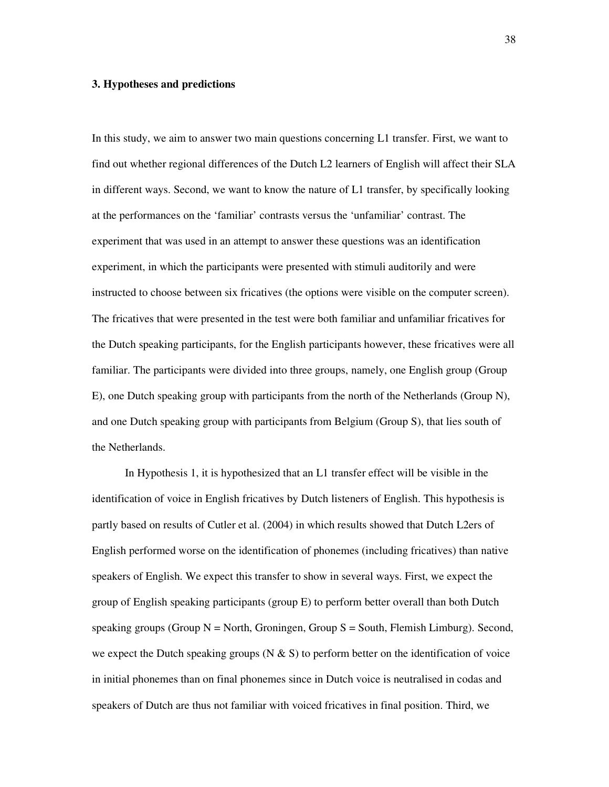#### **3. Hypotheses and predictions**

In this study, we aim to answer two main questions concerning L1 transfer. First, we want to find out whether regional differences of the Dutch L2 learners of English will affect their SLA in different ways. Second, we want to know the nature of L1 transfer, by specifically looking at the performances on the 'familiar' contrasts versus the 'unfamiliar' contrast. The experiment that was used in an attempt to answer these questions was an identification experiment, in which the participants were presented with stimuli auditorily and were instructed to choose between six fricatives (the options were visible on the computer screen). The fricatives that were presented in the test were both familiar and unfamiliar fricatives for the Dutch speaking participants, for the English participants however, these fricatives were all familiar. The participants were divided into three groups, namely, one English group (Group E), one Dutch speaking group with participants from the north of the Netherlands (Group N), and one Dutch speaking group with participants from Belgium (Group S), that lies south of the Netherlands.

 In Hypothesis 1, it is hypothesized that an L1 transfer effect will be visible in the identification of voice in English fricatives by Dutch listeners of English. This hypothesis is partly based on results of Cutler et al. (2004) in which results showed that Dutch L2ers of English performed worse on the identification of phonemes (including fricatives) than native speakers of English. We expect this transfer to show in several ways. First, we expect the group of English speaking participants (group E) to perform better overall than both Dutch speaking groups (Group  $N =$  North, Groningen, Group  $S =$  South, Flemish Limburg). Second, we expect the Dutch speaking groups (N  $\&$  S) to perform better on the identification of voice in initial phonemes than on final phonemes since in Dutch voice is neutralised in codas and speakers of Dutch are thus not familiar with voiced fricatives in final position. Third, we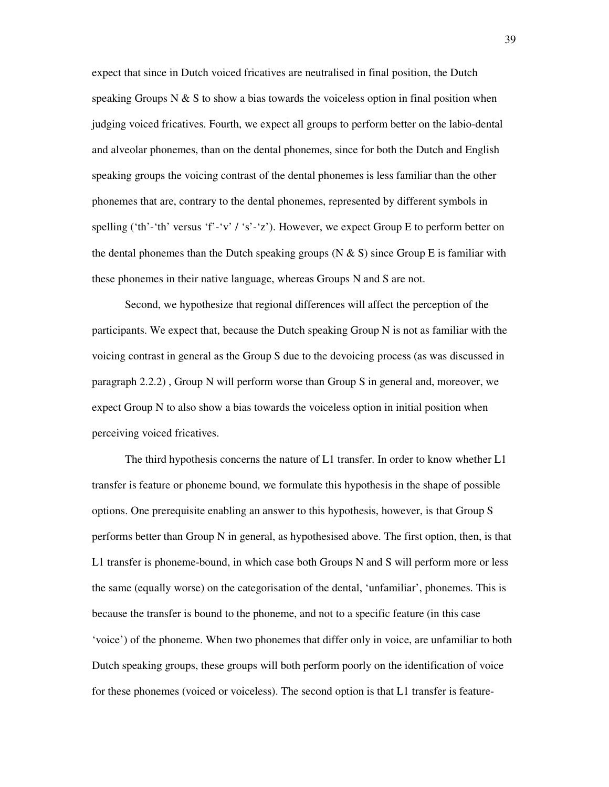expect that since in Dutch voiced fricatives are neutralised in final position, the Dutch speaking Groups N & S to show a bias towards the voiceless option in final position when judging voiced fricatives. Fourth, we expect all groups to perform better on the labio-dental and alveolar phonemes, than on the dental phonemes, since for both the Dutch and English speaking groups the voicing contrast of the dental phonemes is less familiar than the other phonemes that are, contrary to the dental phonemes, represented by different symbols in spelling ('th'-'th' versus 'f'-'v' / 's'-'z'). However, we expect Group E to perform better on the dental phonemes than the Dutch speaking groups (N  $\&$  S) since Group E is familiar with these phonemes in their native language, whereas Groups N and S are not.

 Second, we hypothesize that regional differences will affect the perception of the participants. We expect that, because the Dutch speaking Group N is not as familiar with the voicing contrast in general as the Group S due to the devoicing process (as was discussed in paragraph 2.2.2) , Group N will perform worse than Group S in general and, moreover, we expect Group N to also show a bias towards the voiceless option in initial position when perceiving voiced fricatives.

The third hypothesis concerns the nature of L1 transfer. In order to know whether L1 transfer is feature or phoneme bound, we formulate this hypothesis in the shape of possible options. One prerequisite enabling an answer to this hypothesis, however, is that Group S performs better than Group N in general, as hypothesised above. The first option, then, is that L1 transfer is phoneme-bound, in which case both Groups N and S will perform more or less the same (equally worse) on the categorisation of the dental, 'unfamiliar', phonemes. This is because the transfer is bound to the phoneme, and not to a specific feature (in this case 'voice') of the phoneme. When two phonemes that differ only in voice, are unfamiliar to both Dutch speaking groups, these groups will both perform poorly on the identification of voice for these phonemes (voiced or voiceless). The second option is that L1 transfer is feature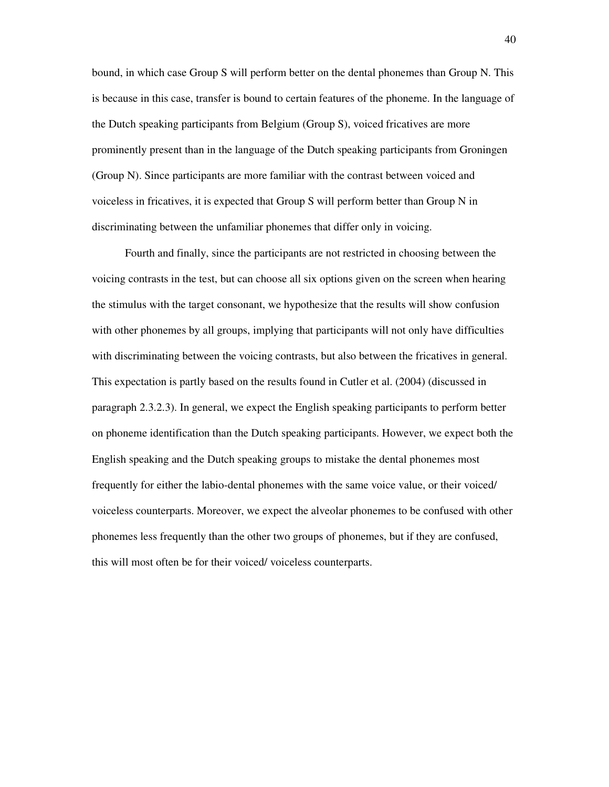bound, in which case Group S will perform better on the dental phonemes than Group N. This is because in this case, transfer is bound to certain features of the phoneme. In the language of the Dutch speaking participants from Belgium (Group S), voiced fricatives are more prominently present than in the language of the Dutch speaking participants from Groningen (Group N). Since participants are more familiar with the contrast between voiced and voiceless in fricatives, it is expected that Group S will perform better than Group N in discriminating between the unfamiliar phonemes that differ only in voicing.

Fourth and finally, since the participants are not restricted in choosing between the voicing contrasts in the test, but can choose all six options given on the screen when hearing the stimulus with the target consonant, we hypothesize that the results will show confusion with other phonemes by all groups, implying that participants will not only have difficulties with discriminating between the voicing contrasts, but also between the fricatives in general. This expectation is partly based on the results found in Cutler et al. (2004) (discussed in paragraph 2.3.2.3). In general, we expect the English speaking participants to perform better on phoneme identification than the Dutch speaking participants. However, we expect both the English speaking and the Dutch speaking groups to mistake the dental phonemes most frequently for either the labio-dental phonemes with the same voice value, or their voiced/ voiceless counterparts. Moreover, we expect the alveolar phonemes to be confused with other phonemes less frequently than the other two groups of phonemes, but if they are confused, this will most often be for their voiced/ voiceless counterparts.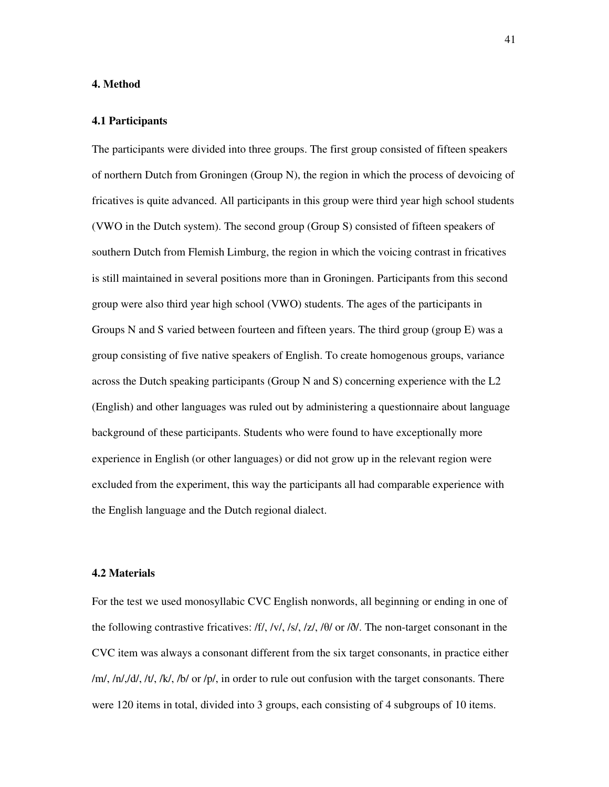#### **4. Method**

#### **4.1 Participants**

The participants were divided into three groups. The first group consisted of fifteen speakers of northern Dutch from Groningen (Group N), the region in which the process of devoicing of fricatives is quite advanced. All participants in this group were third year high school students (VWO in the Dutch system). The second group (Group S) consisted of fifteen speakers of southern Dutch from Flemish Limburg, the region in which the voicing contrast in fricatives is still maintained in several positions more than in Groningen. Participants from this second group were also third year high school (VWO) students. The ages of the participants in Groups N and S varied between fourteen and fifteen years. The third group (group E) was a group consisting of five native speakers of English. To create homogenous groups, variance across the Dutch speaking participants (Group N and S) concerning experience with the L2 (English) and other languages was ruled out by administering a questionnaire about language background of these participants. Students who were found to have exceptionally more experience in English (or other languages) or did not grow up in the relevant region were excluded from the experiment, this way the participants all had comparable experience with the English language and the Dutch regional dialect.

#### **4.2 Materials**

For the test we used monosyllabic CVC English nonwords, all beginning or ending in one of the following contrastive fricatives: /f/, /v/, /s/, /z/, / $\theta$ / or / $\delta$ /. The non-target consonant in the CVC item was always a consonant different from the six target consonants, in practice either /m/, /n/,/d/, /t/, /k/, /b/ or /p/, in order to rule out confusion with the target consonants. There were 120 items in total, divided into 3 groups, each consisting of 4 subgroups of 10 items.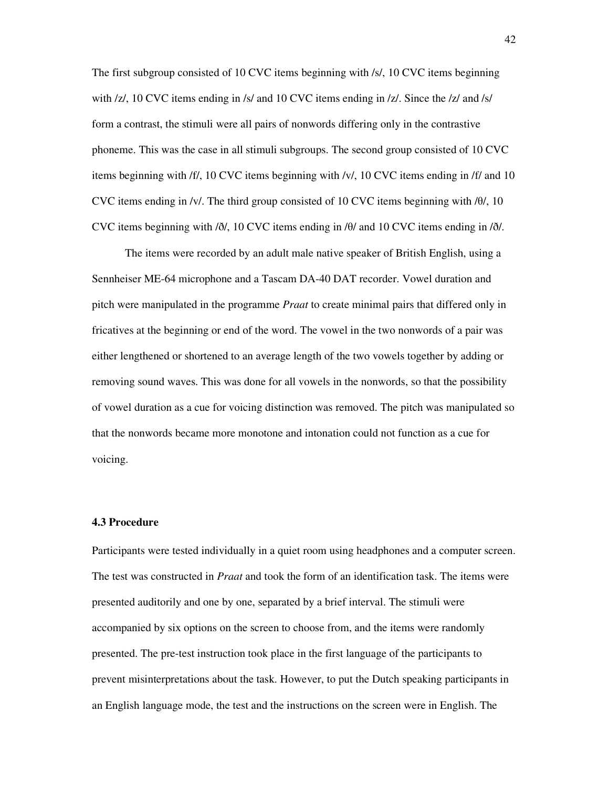The first subgroup consisted of 10 CVC items beginning with /s/, 10 CVC items beginning with /z/, 10 CVC items ending in /s/ and 10 CVC items ending in /z/. Since the /z/ and /s/ form a contrast, the stimuli were all pairs of nonwords differing only in the contrastive phoneme. This was the case in all stimuli subgroups. The second group consisted of 10 CVC items beginning with /f/, 10 CVC items beginning with /v/, 10 CVC items ending in /f/ and 10 CVC items ending in /v/. The third group consisted of 10 CVC items beginning with /θ/, 10 CVC items beginning with /ð/, 10 CVC items ending in /θ/ and 10 CVC items ending in /ð/.

 The items were recorded by an adult male native speaker of British English, using a Sennheiser ME-64 microphone and a Tascam DA-40 DAT recorder. Vowel duration and pitch were manipulated in the programme *Praat* to create minimal pairs that differed only in fricatives at the beginning or end of the word. The vowel in the two nonwords of a pair was either lengthened or shortened to an average length of the two vowels together by adding or removing sound waves. This was done for all vowels in the nonwords, so that the possibility of vowel duration as a cue for voicing distinction was removed. The pitch was manipulated so that the nonwords became more monotone and intonation could not function as a cue for voicing.

#### **4.3 Procedure**

Participants were tested individually in a quiet room using headphones and a computer screen. The test was constructed in *Praat* and took the form of an identification task. The items were presented auditorily and one by one, separated by a brief interval. The stimuli were accompanied by six options on the screen to choose from, and the items were randomly presented. The pre-test instruction took place in the first language of the participants to prevent misinterpretations about the task. However, to put the Dutch speaking participants in an English language mode, the test and the instructions on the screen were in English. The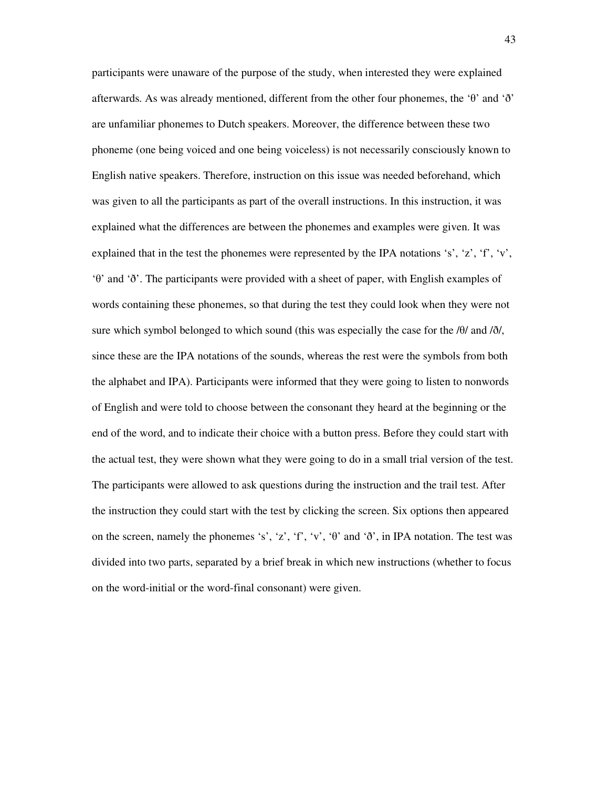participants were unaware of the purpose of the study, when interested they were explained afterwards. As was already mentioned, different from the other four phonemes, the 'θ' and 'ð' are unfamiliar phonemes to Dutch speakers. Moreover, the difference between these two phoneme (one being voiced and one being voiceless) is not necessarily consciously known to English native speakers. Therefore, instruction on this issue was needed beforehand, which was given to all the participants as part of the overall instructions. In this instruction, it was explained what the differences are between the phonemes and examples were given. It was explained that in the test the phonemes were represented by the IPA notations 's', 'z', 'f', 'v', 'θ' and 'ð'. The participants were provided with a sheet of paper, with English examples of words containing these phonemes, so that during the test they could look when they were not sure which symbol belonged to which sound (this was especially the case for the  $\theta$ ) and  $\delta$ ), since these are the IPA notations of the sounds, whereas the rest were the symbols from both the alphabet and IPA). Participants were informed that they were going to listen to nonwords of English and were told to choose between the consonant they heard at the beginning or the end of the word, and to indicate their choice with a button press. Before they could start with the actual test, they were shown what they were going to do in a small trial version of the test. The participants were allowed to ask questions during the instruction and the trail test. After the instruction they could start with the test by clicking the screen. Six options then appeared on the screen, namely the phonemes 's', 'z', 'f', 'v', ' $\theta$ ' and ' $\eth'$ ', in IPA notation. The test was divided into two parts, separated by a brief break in which new instructions (whether to focus on the word-initial or the word-final consonant) were given.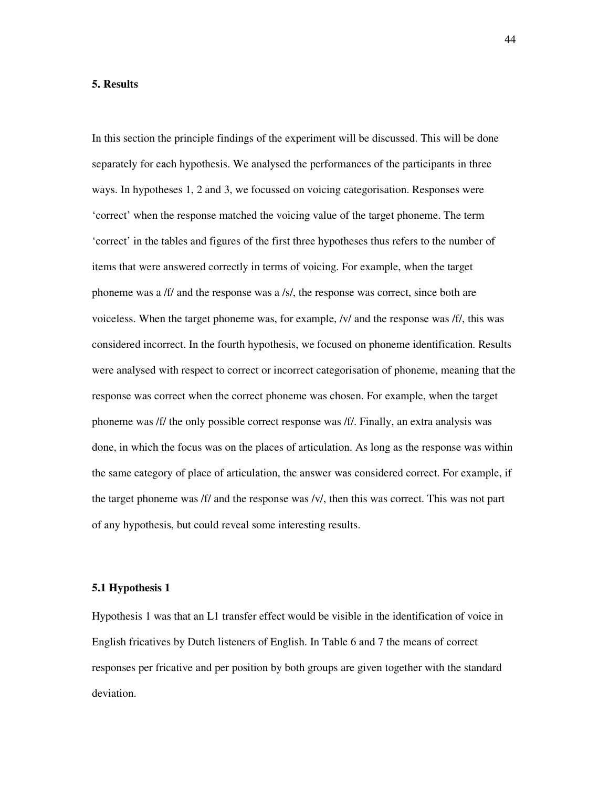#### **5. Results**

In this section the principle findings of the experiment will be discussed. This will be done separately for each hypothesis. We analysed the performances of the participants in three ways. In hypotheses 1, 2 and 3, we focussed on voicing categorisation. Responses were 'correct' when the response matched the voicing value of the target phoneme. The term 'correct' in the tables and figures of the first three hypotheses thus refers to the number of items that were answered correctly in terms of voicing. For example, when the target phoneme was a /f/ and the response was a /s/, the response was correct, since both are voiceless. When the target phoneme was, for example, /v/ and the response was /f/, this was considered incorrect. In the fourth hypothesis, we focused on phoneme identification. Results were analysed with respect to correct or incorrect categorisation of phoneme, meaning that the response was correct when the correct phoneme was chosen. For example, when the target phoneme was /f/ the only possible correct response was /f/. Finally, an extra analysis was done, in which the focus was on the places of articulation. As long as the response was within the same category of place of articulation, the answer was considered correct. For example, if the target phoneme was /f/ and the response was /v/, then this was correct. This was not part of any hypothesis, but could reveal some interesting results.

#### **5.1 Hypothesis 1**

Hypothesis 1 was that an L1 transfer effect would be visible in the identification of voice in English fricatives by Dutch listeners of English. In Table 6 and 7 the means of correct responses per fricative and per position by both groups are given together with the standard deviation.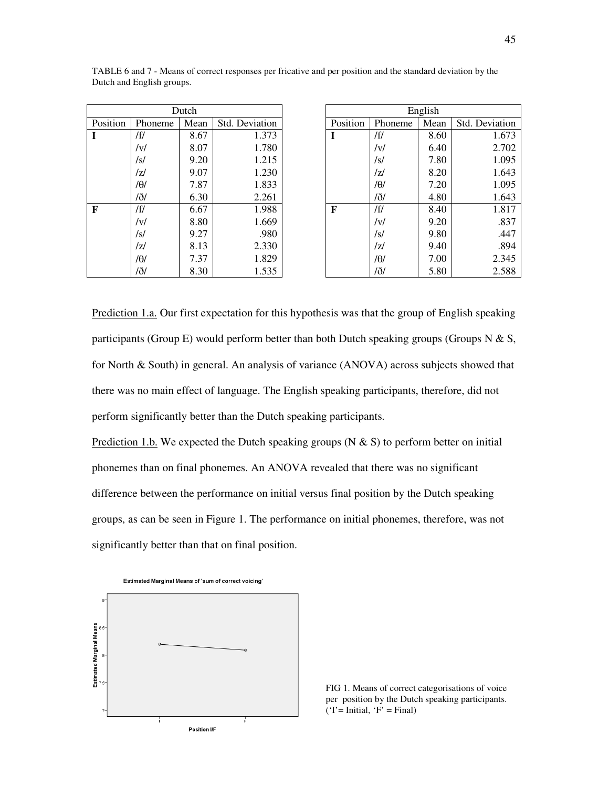| Dutch    |         |      |                       |  |  |  |  |  |
|----------|---------|------|-----------------------|--|--|--|--|--|
| Position | Phoneme | Mean | <b>Std. Deviation</b> |  |  |  |  |  |
|          | /f/     | 8.67 | 1.373                 |  |  |  |  |  |
|          | /v/     | 8.07 | 1.780                 |  |  |  |  |  |
|          | /s/     | 9.20 | 1.215                 |  |  |  |  |  |
|          | /7/     | 9.07 | 1.230                 |  |  |  |  |  |
|          | /θ/     | 7.87 | 1.833                 |  |  |  |  |  |
|          | /ð/     | 6.30 | 2.261                 |  |  |  |  |  |
| F        | /f/     | 6.67 | 1.988                 |  |  |  |  |  |
|          | /v/     | 8.80 | 1.669                 |  |  |  |  |  |
|          | /s/     | 9.27 | .980                  |  |  |  |  |  |
|          | /7/     | 8.13 | 2.330                 |  |  |  |  |  |
|          | /θ/     | 7.37 | 1.829                 |  |  |  |  |  |
|          | /ð/     | 8.30 | 1.535                 |  |  |  |  |  |

English Position | Phoneme | Mean | Std. Deviation **I**  $|f|$  8.60 1.673 /v/ 6.40 2.702  $\sqrt{s}$  | 7.80 | 1.095  $|z|$  8.20 1.643  $/ \theta$  7.20 1.095 /ð/ 4.80 1.643 **F** |  $/ff$  | 8.40 | 1.817  $/v/$  9.20 .837  $/s/$  9.80 .447  $|z|$  9.40 .894  $/ \theta$  | 7.00 | 2.345 /ð/ 5.80 2.588

TABLE 6 and 7 - Means of correct responses per fricative and per position and the standard deviation by the Dutch and English groups.

Prediction 1.a. Our first expectation for this hypothesis was that the group of English speaking participants (Group E) would perform better than both Dutch speaking groups (Groups N & S, for North & South) in general. An analysis of variance (ANOVA) across subjects showed that there was no main effect of language. The English speaking participants, therefore, did not perform significantly better than the Dutch speaking participants.

Prediction 1.b. We expected the Dutch speaking groups (N  $\&$  S) to perform better on initial phonemes than on final phonemes. An ANOVA revealed that there was no significant difference between the performance on initial versus final position by the Dutch speaking groups, as can be seen in Figure 1. The performance on initial phonemes, therefore, was not significantly better than that on final position.



FIG 1. Means of correct categorisations of voice per position by the Dutch speaking participants.  $('I' = Initial, 'F' = Final)$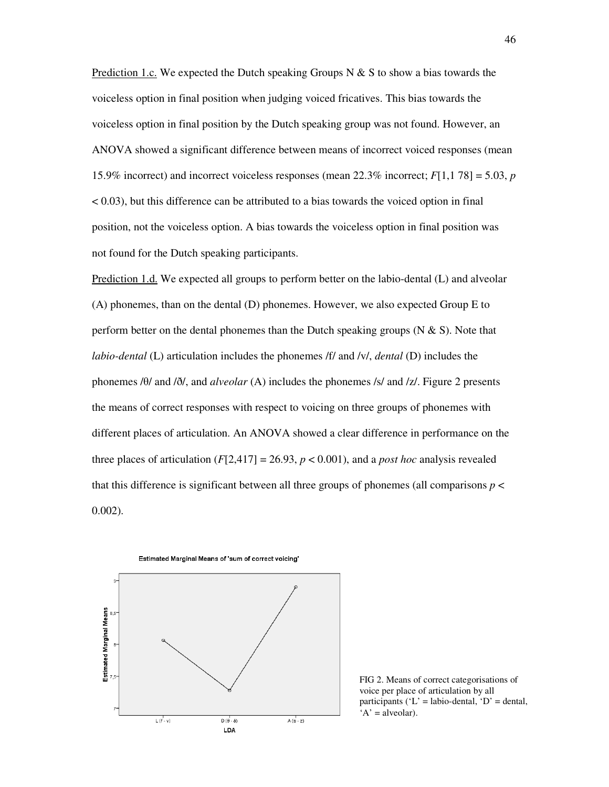Prediction 1.c. We expected the Dutch speaking Groups N  $\&$  S to show a bias towards the voiceless option in final position when judging voiced fricatives. This bias towards the voiceless option in final position by the Dutch speaking group was not found. However, an ANOVA showed a significant difference between means of incorrect voiced responses (mean 15.9% incorrect) and incorrect voiceless responses (mean 22.3% incorrect; *F*[1,1 78] = 5.03, *p* < 0.03), but this difference can be attributed to a bias towards the voiced option in final position, not the voiceless option. A bias towards the voiceless option in final position was not found for the Dutch speaking participants.

Prediction 1.d. We expected all groups to perform better on the labio-dental (L) and alveolar (A) phonemes, than on the dental (D) phonemes. However, we also expected Group E to perform better on the dental phonemes than the Dutch speaking groups  $(N & S)$ . Note that *labio-dental* (L) articulation includes the phonemes /f/ and /v/, *dental* (D) includes the phonemes /θ/ and /ð/, and *alveolar* (A) includes the phonemes /s/ and /z/. Figure 2 presents the means of correct responses with respect to voicing on three groups of phonemes with different places of articulation. An ANOVA showed a clear difference in performance on the three places of articulation  $(F[2,417] = 26.93, p < 0.001)$ , and a *post hoc* analysis revealed that this difference is significant between all three groups of phonemes (all comparisons *p* < 0.002).



FIG 2. Means of correct categorisations of voice per place of articulation by all participants ( $'L' = labio$ -dental,  $D' = dendal$ ,  $A' = alveolar$ ).

Estimated Marginal Means of 'sum of correct voicing'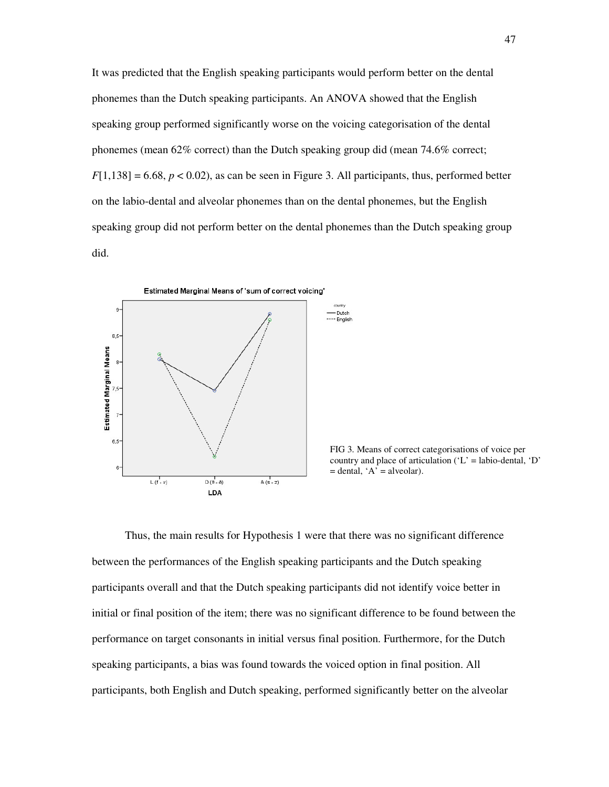It was predicted that the English speaking participants would perform better on the dental phonemes than the Dutch speaking participants. An ANOVA showed that the English speaking group performed significantly worse on the voicing categorisation of the dental phonemes (mean 62% correct) than the Dutch speaking group did (mean 74.6% correct;  $F[1,138] = 6.68$ ,  $p < 0.02$ ), as can be seen in Figure 3. All participants, thus, performed better on the labio-dental and alveolar phonemes than on the dental phonemes, but the English speaking group did not perform better on the dental phonemes than the Dutch speaking group did.



FIG 3. Means of correct categorisations of voice per country and place of articulation ( $'L'$  = labio-dental,  $'D'$  $=$  dental, 'A' = alveolar).

Thus, the main results for Hypothesis 1 were that there was no significant difference between the performances of the English speaking participants and the Dutch speaking participants overall and that the Dutch speaking participants did not identify voice better in initial or final position of the item; there was no significant difference to be found between the performance on target consonants in initial versus final position. Furthermore, for the Dutch speaking participants, a bias was found towards the voiced option in final position. All participants, both English and Dutch speaking, performed significantly better on the alveolar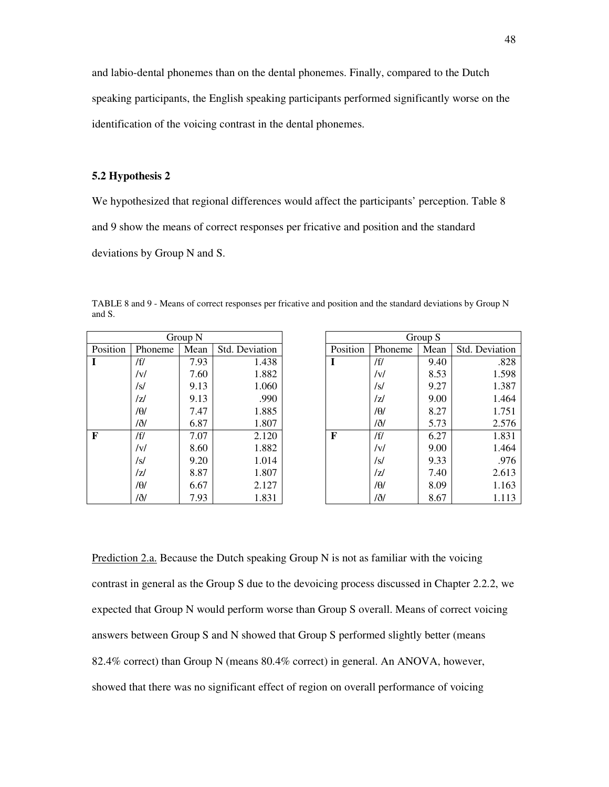and labio-dental phonemes than on the dental phonemes. Finally, compared to the Dutch speaking participants, the English speaking participants performed significantly worse on the identification of the voicing contrast in the dental phonemes.

#### **5.2 Hypothesis 2**

and S.

We hypothesized that regional differences would affect the participants' perception. Table 8 and 9 show the means of correct responses per fricative and position and the standard deviations by Group N and S.

TABLE 8 and 9 - Means of correct responses per fricative and position and the standard deviations by Group N

|          | Group N                                  |      |       |  |  |  |  |  |  |
|----------|------------------------------------------|------|-------|--|--|--|--|--|--|
| Position | Mean<br><b>Std. Deviation</b><br>Phoneme |      |       |  |  |  |  |  |  |
| I        | /f/                                      | 7.93 | 1.438 |  |  |  |  |  |  |
|          | /v/                                      | 7.60 | 1.882 |  |  |  |  |  |  |
|          | /s/                                      | 9.13 | 1.060 |  |  |  |  |  |  |
|          | /7/                                      | 9.13 | .990  |  |  |  |  |  |  |
|          | /θ/                                      | 7.47 | 1.885 |  |  |  |  |  |  |
|          | /ð/                                      | 6.87 | 1.807 |  |  |  |  |  |  |
| F        | /f/                                      | 7.07 | 2.120 |  |  |  |  |  |  |
|          | /v/                                      | 8.60 | 1.882 |  |  |  |  |  |  |
|          | /s/                                      | 9.20 | 1.014 |  |  |  |  |  |  |
|          | /7/                                      | 8.87 | 1.807 |  |  |  |  |  |  |
|          | /θ/                                      | 6.67 | 2.127 |  |  |  |  |  |  |
|          | /ð/                                      | 7.93 | 1.831 |  |  |  |  |  |  |

|          |         | Group S |                |
|----------|---------|---------|----------------|
| Position | Phoneme | Mean    | Std. Deviation |
| I        | /f/     | 9.40    | .828           |
|          | /v/     | 8.53    | 1.598          |
|          | /s/     | 9.27    | 1.387          |
|          | /z/     | 9.00    | 1.464          |
|          | /θ/     | 8.27    | 1.751          |
|          | /ð/     | 5.73    | 2.576          |
| F        | /f/     | 6.27    | 1.831          |
|          | /v/     | 9.00    | 1.464          |
|          | /s/     | 9.33    | .976           |
|          | IzI     | 7.40    | 2.613          |
|          | /θ/     | 8.09    | 1.163          |
|          | /ð/     | 8.67    | 1.113          |

Prediction 2.a. Because the Dutch speaking Group N is not as familiar with the voicing contrast in general as the Group S due to the devoicing process discussed in Chapter 2.2.2, we expected that Group N would perform worse than Group S overall. Means of correct voicing answers between Group S and N showed that Group S performed slightly better (means 82.4% correct) than Group N (means 80.4% correct) in general. An ANOVA, however, showed that there was no significant effect of region on overall performance of voicing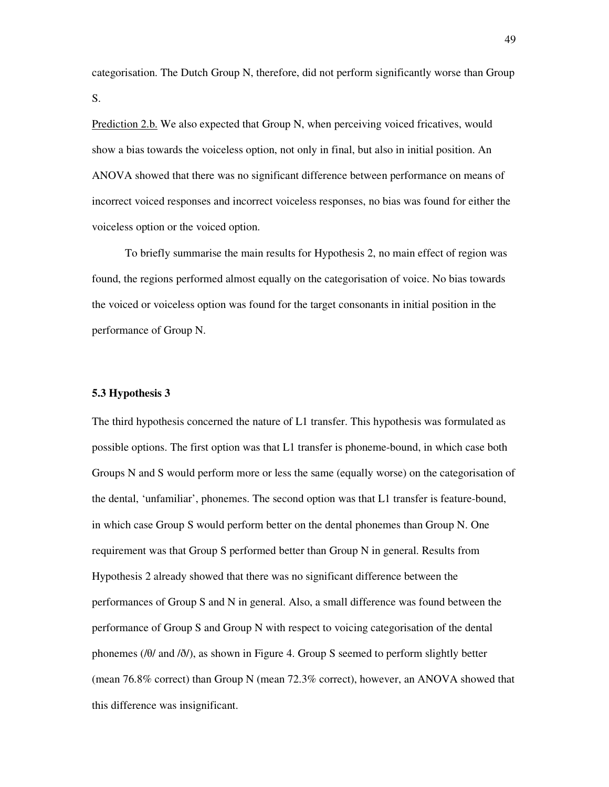categorisation. The Dutch Group N, therefore, did not perform significantly worse than Group S.

Prediction 2.b. We also expected that Group N, when perceiving voiced fricatives, would show a bias towards the voiceless option, not only in final, but also in initial position. An ANOVA showed that there was no significant difference between performance on means of incorrect voiced responses and incorrect voiceless responses, no bias was found for either the voiceless option or the voiced option.

 To briefly summarise the main results for Hypothesis 2, no main effect of region was found, the regions performed almost equally on the categorisation of voice. No bias towards the voiced or voiceless option was found for the target consonants in initial position in the performance of Group N.

#### **5.3 Hypothesis 3**

The third hypothesis concerned the nature of L1 transfer. This hypothesis was formulated as possible options. The first option was that L1 transfer is phoneme-bound, in which case both Groups N and S would perform more or less the same (equally worse) on the categorisation of the dental, 'unfamiliar', phonemes. The second option was that L1 transfer is feature-bound, in which case Group S would perform better on the dental phonemes than Group N. One requirement was that Group S performed better than Group N in general. Results from Hypothesis 2 already showed that there was no significant difference between the performances of Group S and N in general. Also, a small difference was found between the performance of Group S and Group N with respect to voicing categorisation of the dental phonemes (/θ/ and /ð/), as shown in Figure 4. Group S seemed to perform slightly better (mean 76.8% correct) than Group N (mean 72.3% correct), however, an ANOVA showed that this difference was insignificant.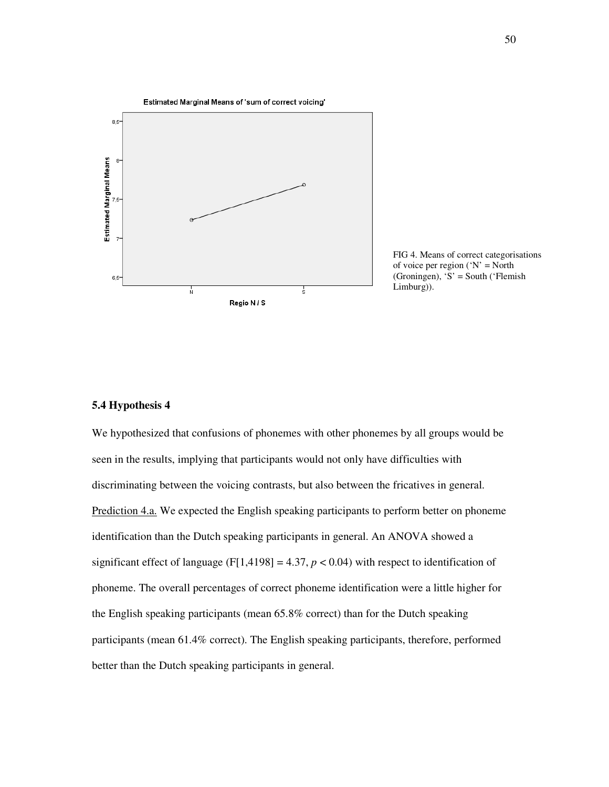

FIG 4. Means of correct categorisations of voice per region ( $'N' = North$ (Groningen), 'S' = South ('Flemish Limburg)).

#### **5.4 Hypothesis 4**

We hypothesized that confusions of phonemes with other phonemes by all groups would be seen in the results, implying that participants would not only have difficulties with discriminating between the voicing contrasts, but also between the fricatives in general. Prediction 4.a. We expected the English speaking participants to perform better on phoneme identification than the Dutch speaking participants in general. An ANOVA showed a significant effect of language (F[1,4198] = 4.37,  $p < 0.04$ ) with respect to identification of phoneme. The overall percentages of correct phoneme identification were a little higher for the English speaking participants (mean 65.8% correct) than for the Dutch speaking participants (mean 61.4% correct). The English speaking participants, therefore, performed better than the Dutch speaking participants in general.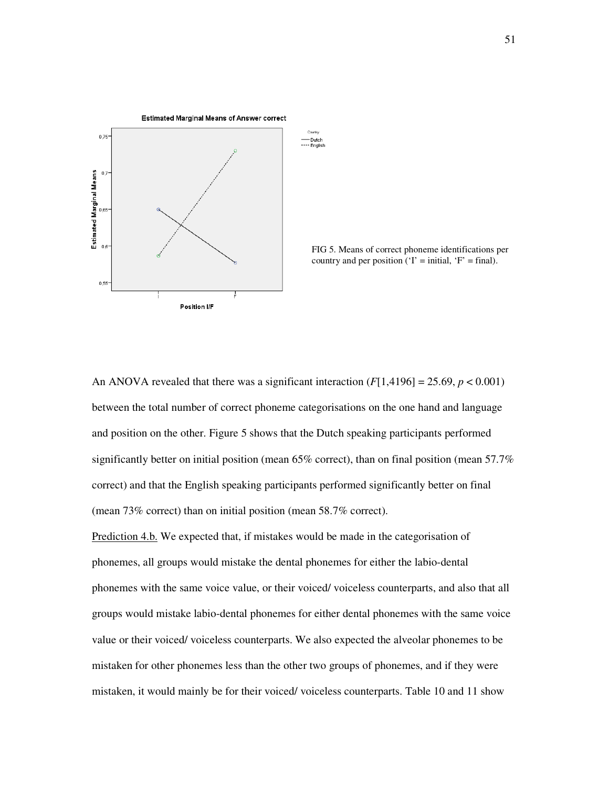

FIG 5. Means of correct phoneme identifications per country and per position ( $T = initial$ ,  $F' = final$ ).

An ANOVA revealed that there was a significant interaction  $(F[1,4196] = 25.69, p < 0.001)$ between the total number of correct phoneme categorisations on the one hand and language and position on the other. Figure 5 shows that the Dutch speaking participants performed significantly better on initial position (mean 65% correct), than on final position (mean 57.7% correct) and that the English speaking participants performed significantly better on final (mean 73% correct) than on initial position (mean 58.7% correct).

Prediction 4.b. We expected that, if mistakes would be made in the categorisation of phonemes, all groups would mistake the dental phonemes for either the labio-dental phonemes with the same voice value, or their voiced/ voiceless counterparts, and also that all groups would mistake labio-dental phonemes for either dental phonemes with the same voice value or their voiced/ voiceless counterparts. We also expected the alveolar phonemes to be mistaken for other phonemes less than the other two groups of phonemes, and if they were mistaken, it would mainly be for their voiced/ voiceless counterparts. Table 10 and 11 show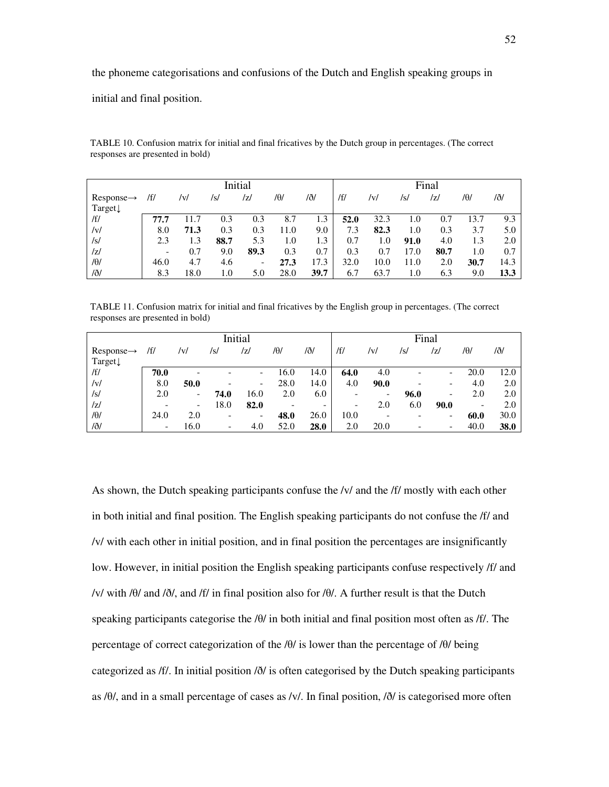the phoneme categorisations and confusions of the Dutch and English speaking groups in

initial and final position.

|                        | Initial |      |      |                          |         |      | Final |      |      |      |      |      |
|------------------------|---------|------|------|--------------------------|---------|------|-------|------|------|------|------|------|
| $Response \rightarrow$ | /f/     | /v/  | /s/  | /z/                      | /0/     | /ð/  | /f/   | /v/  | /s/  | /z/  | /0/  | /ð/  |
| Target↓                |         |      |      |                          |         |      |       |      |      |      |      |      |
| /f/                    | 77.7    |      | 0.3  | 0.3                      | 8.7     | 1.3  | 52.0  | 32.3 | 1.0  | 0.7  | 13.7 | 9.3  |
| V                      | 8.0     | 71.3 | 0.3  | 0.3                      | 11.0    | 9.0  | 7.3   | 82.3 | 1.0  | 0.3  | 3.7  | 5.0  |
| /s/                    | 2.3     | 1.3  | 88.7 | 5.3                      | $1.0\,$ | 1.3  | 0.7   | 1.0  | 91.0 | 4.0  | 1.3  | 2.0  |
| /z/                    |         | 0.7  | 9.0  | 89.3                     | 0.3     | 0.7  | 0.3   | 0.7  | 17.0 | 80.7 | 1.0  | 0.7  |
| $/ \theta /$           | 46.0    | 4.7  | 4.6  | $\overline{\phantom{a}}$ | 27.3    | 17.3 | 32.0  | 10.0 | 11.0 | 2.0  | 30.7 | 14.3 |
| /ð/                    | 8.3     | 18.0 | 1.0  | 5.0                      | 28.0    | 39.7 | 6.7   | 63.7 | 1.0  | 6.3  | 9.0  | 13.3 |

TABLE 10. Confusion matrix for initial and final fricatives by the Dutch group in percentages. (The correct responses are presented in bold)

TABLE 11. Confusion matrix for initial and final fricatives by the English group in percentages. (The correct responses are presented in bold)

|                        | Initial                  |                          |                          |                          |      |                          | Final                    |      |      |                          |      |      |
|------------------------|--------------------------|--------------------------|--------------------------|--------------------------|------|--------------------------|--------------------------|------|------|--------------------------|------|------|
| $Response \rightarrow$ | /f/                      | /v/                      | /s/                      | IzI                      | /0/  | /ð/                      | /f/                      | /v/  | /s/  | /z/                      | /0/  | /ð/  |
| Target $\downarrow$    |                          |                          |                          |                          |      |                          |                          |      |      |                          |      |      |
| /f/                    | 70.0                     |                          |                          | $\overline{\phantom{0}}$ | 16.0 | 14.0                     | 64.0                     | 4.0  |      | $\overline{\phantom{a}}$ | 20.0 | 12.0 |
| v                      | 8.0                      | 50.0                     |                          | $\overline{\phantom{0}}$ | 28.0 | 14.0                     | 4.0                      | 90.0 |      | $\overline{\phantom{a}}$ | 4.0  | 2.0  |
| /s/                    | 2.0                      | $\overline{\phantom{a}}$ | 74.0                     | 16.0                     | 2.0  | 6.0                      |                          | -    | 96.0 | $\qquad \qquad$          | 2.0  | 2.0  |
| z                      |                          | $\overline{\phantom{a}}$ | 18.0                     | 82.0                     |      | $\overline{\phantom{0}}$ | $\overline{\phantom{a}}$ | 2.0  | 6.0  | 90.0                     |      | 2.0  |
| $/ \theta$             | 24.0                     | 2.0                      | ۰                        | $\overline{\phantom{0}}$ | 48.0 | 26.0                     | 10.0                     |      |      | $\overline{\phantom{a}}$ | 60.0 | 30.0 |
| /ð/                    | $\overline{\phantom{0}}$ | 16.0                     | $\overline{\phantom{a}}$ | 4.0                      | 52.0 | 28.0                     | 2.0                      | 20.0 |      | $\overline{\phantom{a}}$ | 40.0 | 38.0 |

As shown, the Dutch speaking participants confuse the /v/ and the *ff*/ mostly with each other in both initial and final position. The English speaking participants do not confuse the /f/ and /v/ with each other in initial position, and in final position the percentages are insignificantly low. However, in initial position the English speaking participants confuse respectively /f/ and /v/ with /θ/ and /ð/, and /f/ in final position also for /θ/. A further result is that the Dutch speaking participants categorise the /θ/ in both initial and final position most often as /f/. The percentage of correct categorization of the /θ/ is lower than the percentage of /θ/ being categorized as /f/. In initial position /ð/ is often categorised by the Dutch speaking participants as /θ/, and in a small percentage of cases as /v/. In final position, /ð/ is categorised more often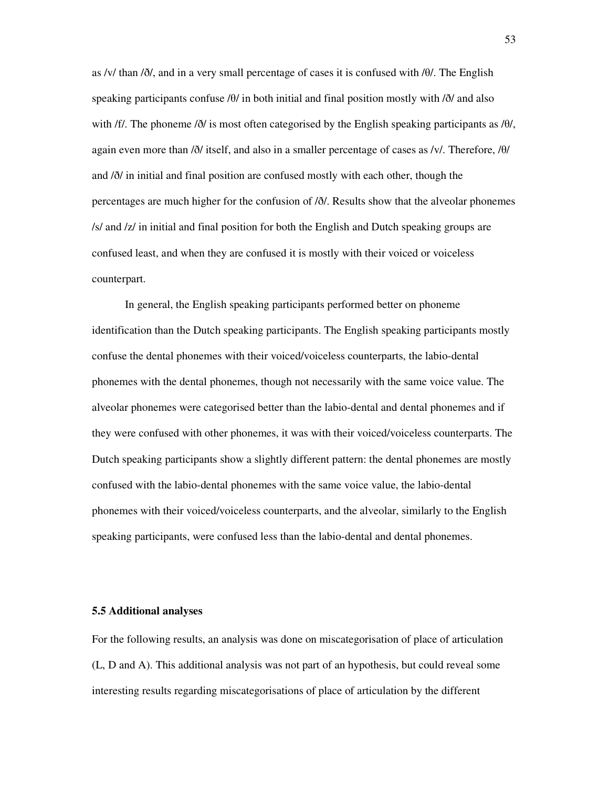as /v/ than /ð/, and in a very small percentage of cases it is confused with /θ/. The English speaking participants confuse /θ/ in both initial and final position mostly with /ð/ and also with /f/. The phoneme /ð/ is most often categorised by the English speaking participants as /θ/, again even more than /ð/ itself, and also in a smaller percentage of cases as /v/. Therefore, /θ/ and /ð/ in initial and final position are confused mostly with each other, though the percentages are much higher for the confusion of /ð/. Results show that the alveolar phonemes /s/ and /z/ in initial and final position for both the English and Dutch speaking groups are confused least, and when they are confused it is mostly with their voiced or voiceless counterpart.

In general, the English speaking participants performed better on phoneme identification than the Dutch speaking participants. The English speaking participants mostly confuse the dental phonemes with their voiced/voiceless counterparts, the labio-dental phonemes with the dental phonemes, though not necessarily with the same voice value. The alveolar phonemes were categorised better than the labio-dental and dental phonemes and if they were confused with other phonemes, it was with their voiced/voiceless counterparts. The Dutch speaking participants show a slightly different pattern: the dental phonemes are mostly confused with the labio-dental phonemes with the same voice value, the labio-dental phonemes with their voiced/voiceless counterparts, and the alveolar, similarly to the English speaking participants, were confused less than the labio-dental and dental phonemes.

#### **5.5 Additional analyses**

For the following results, an analysis was done on miscategorisation of place of articulation (L, D and A). This additional analysis was not part of an hypothesis, but could reveal some interesting results regarding miscategorisations of place of articulation by the different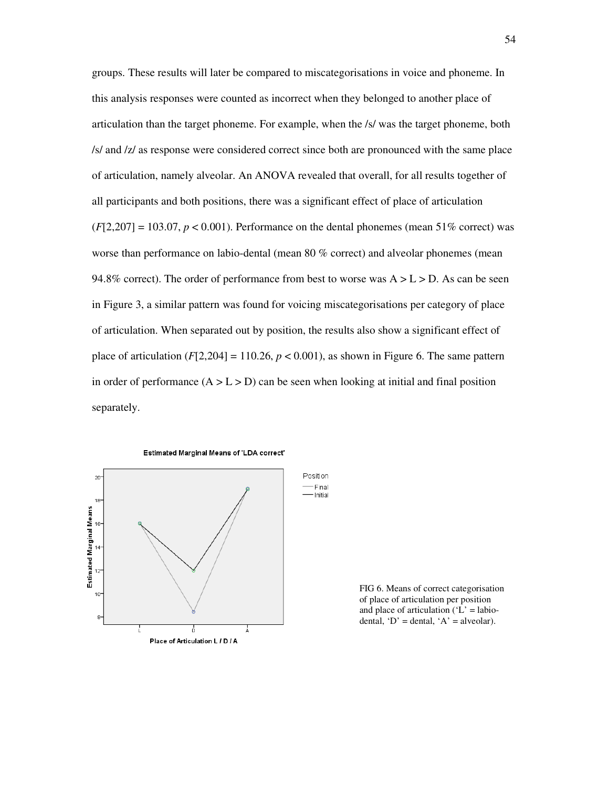groups. These results will later be compared to miscategorisations in voice and phoneme. In this analysis responses were counted as incorrect when they belonged to another place of articulation than the target phoneme. For example, when the /s/ was the target phoneme, both /s/ and /z/ as response were considered correct since both are pronounced with the same place of articulation, namely alveolar. An ANOVA revealed that overall, for all results together of all participants and both positions, there was a significant effect of place of articulation  $(F[2,207] = 103.07, p < 0.001)$ . Performance on the dental phonemes (mean 51% correct) was worse than performance on labio-dental (mean 80 % correct) and alveolar phonemes (mean 94.8% correct). The order of performance from best to worse was  $A > L > D$ . As can be seen in Figure 3, a similar pattern was found for voicing miscategorisations per category of place of articulation. When separated out by position, the results also show a significant effect of place of articulation  $(F[2,204] = 110.26, p < 0.001)$ , as shown in Figure 6. The same pattern in order of performance  $(A > L > D)$  can be seen when looking at initial and final position separately.



FIG 6. Means of correct categorisation of place of articulation per position and place of articulation ( $'L$  = labiodental, ' $D'$  = dental, ' $A'$  = alveolar).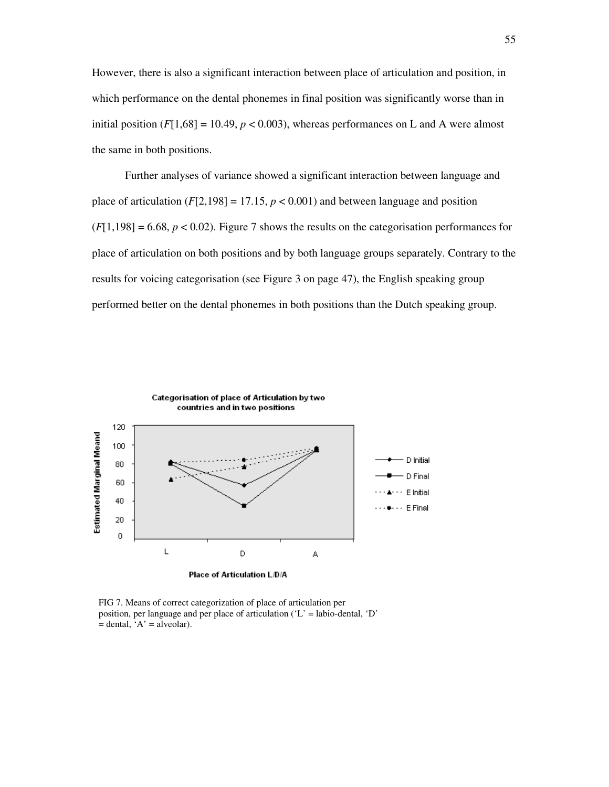However, there is also a significant interaction between place of articulation and position, in which performance on the dental phonemes in final position was significantly worse than in initial position  $(F[1,68] = 10.49, p < 0.003)$ , whereas performances on L and A were almost the same in both positions.

 Further analyses of variance showed a significant interaction between language and place of articulation  $(F[2,198] = 17.15, p < 0.001)$  and between language and position  $(F[1,198] = 6.68, p < 0.02)$ . Figure 7 shows the results on the categorisation performances for place of articulation on both positions and by both language groups separately. Contrary to the results for voicing categorisation (see Figure 3 on page 47), the English speaking group performed better on the dental phonemes in both positions than the Dutch speaking group.



FIG 7. Means of correct categorization of place of articulation per position, per language and per place of articulation  $(L)$  = labio-dental,  $D'$  $=$  dental, 'A'  $=$  alveolar).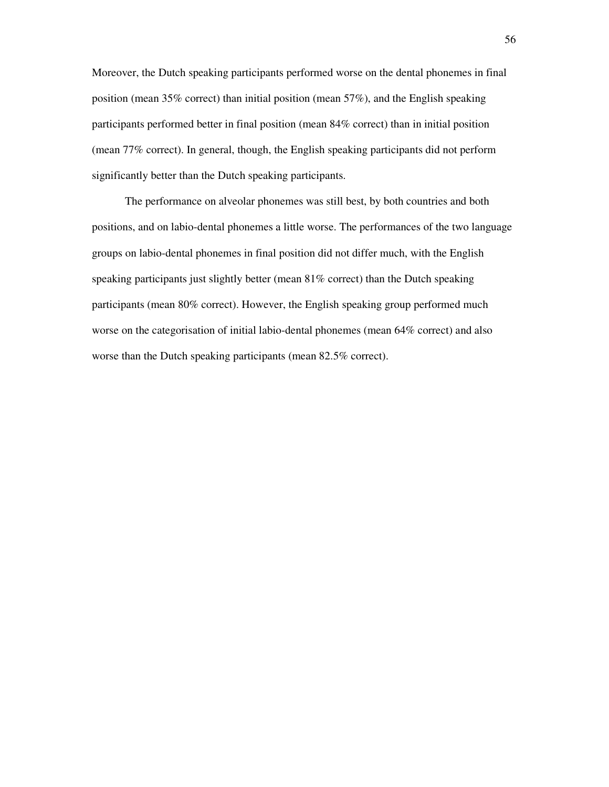Moreover, the Dutch speaking participants performed worse on the dental phonemes in final position (mean 35% correct) than initial position (mean 57%), and the English speaking participants performed better in final position (mean 84% correct) than in initial position (mean 77% correct). In general, though, the English speaking participants did not perform significantly better than the Dutch speaking participants.

 The performance on alveolar phonemes was still best, by both countries and both positions, and on labio-dental phonemes a little worse. The performances of the two language groups on labio-dental phonemes in final position did not differ much, with the English speaking participants just slightly better (mean 81% correct) than the Dutch speaking participants (mean 80% correct). However, the English speaking group performed much worse on the categorisation of initial labio-dental phonemes (mean 64% correct) and also worse than the Dutch speaking participants (mean 82.5% correct).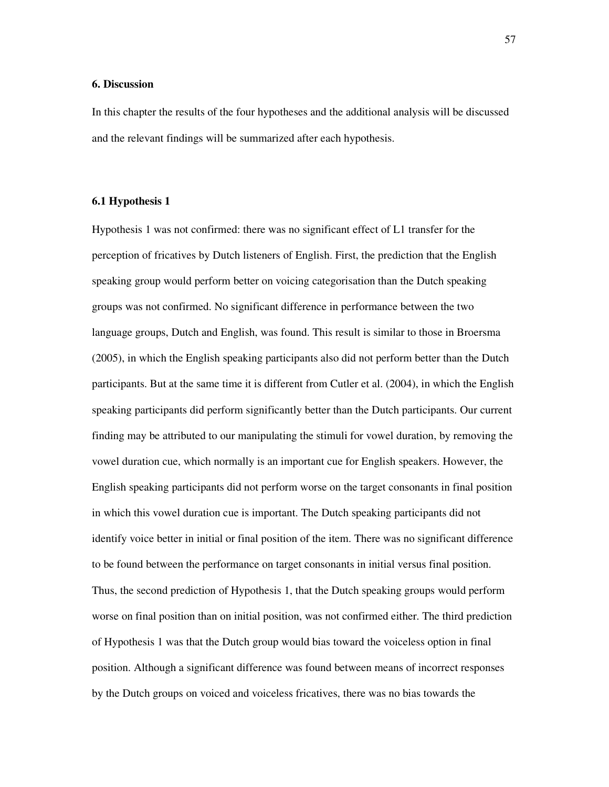#### **6. Discussion**

In this chapter the results of the four hypotheses and the additional analysis will be discussed and the relevant findings will be summarized after each hypothesis.

#### **6.1 Hypothesis 1**

Hypothesis 1 was not confirmed: there was no significant effect of L1 transfer for the perception of fricatives by Dutch listeners of English. First, the prediction that the English speaking group would perform better on voicing categorisation than the Dutch speaking groups was not confirmed. No significant difference in performance between the two language groups, Dutch and English, was found. This result is similar to those in Broersma (2005), in which the English speaking participants also did not perform better than the Dutch participants. But at the same time it is different from Cutler et al. (2004), in which the English speaking participants did perform significantly better than the Dutch participants. Our current finding may be attributed to our manipulating the stimuli for vowel duration, by removing the vowel duration cue, which normally is an important cue for English speakers. However, the English speaking participants did not perform worse on the target consonants in final position in which this vowel duration cue is important. The Dutch speaking participants did not identify voice better in initial or final position of the item. There was no significant difference to be found between the performance on target consonants in initial versus final position. Thus, the second prediction of Hypothesis 1, that the Dutch speaking groups would perform worse on final position than on initial position, was not confirmed either. The third prediction of Hypothesis 1 was that the Dutch group would bias toward the voiceless option in final position. Although a significant difference was found between means of incorrect responses by the Dutch groups on voiced and voiceless fricatives, there was no bias towards the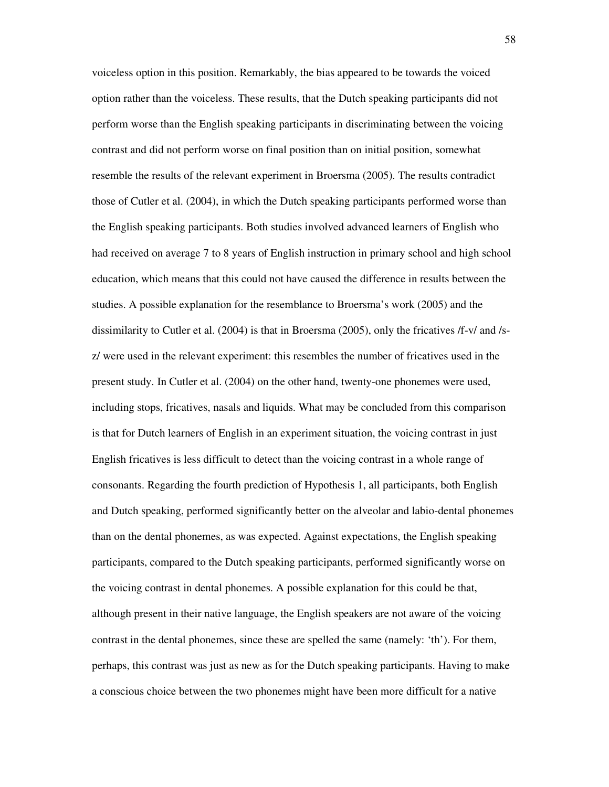voiceless option in this position. Remarkably, the bias appeared to be towards the voiced option rather than the voiceless. These results, that the Dutch speaking participants did not perform worse than the English speaking participants in discriminating between the voicing contrast and did not perform worse on final position than on initial position, somewhat resemble the results of the relevant experiment in Broersma (2005). The results contradict those of Cutler et al. (2004), in which the Dutch speaking participants performed worse than the English speaking participants. Both studies involved advanced learners of English who had received on average 7 to 8 years of English instruction in primary school and high school education, which means that this could not have caused the difference in results between the studies. A possible explanation for the resemblance to Broersma's work (2005) and the dissimilarity to Cutler et al. (2004) is that in Broersma (2005), only the fricatives /f-v/ and /sz/ were used in the relevant experiment: this resembles the number of fricatives used in the present study. In Cutler et al. (2004) on the other hand, twenty-one phonemes were used, including stops, fricatives, nasals and liquids. What may be concluded from this comparison is that for Dutch learners of English in an experiment situation, the voicing contrast in just English fricatives is less difficult to detect than the voicing contrast in a whole range of consonants. Regarding the fourth prediction of Hypothesis 1, all participants, both English and Dutch speaking, performed significantly better on the alveolar and labio-dental phonemes than on the dental phonemes, as was expected. Against expectations, the English speaking participants, compared to the Dutch speaking participants, performed significantly worse on the voicing contrast in dental phonemes. A possible explanation for this could be that, although present in their native language, the English speakers are not aware of the voicing contrast in the dental phonemes, since these are spelled the same (namely: 'th'). For them, perhaps, this contrast was just as new as for the Dutch speaking participants. Having to make a conscious choice between the two phonemes might have been more difficult for a native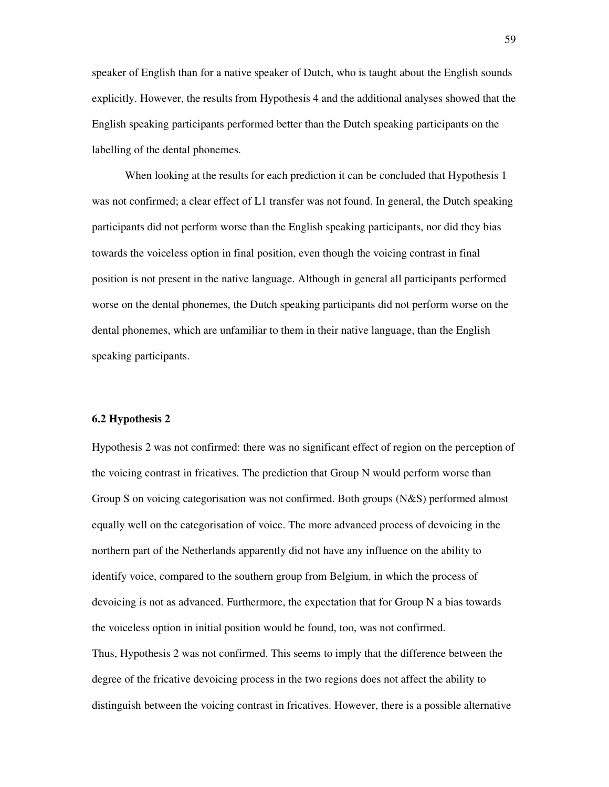speaker of English than for a native speaker of Dutch, who is taught about the English sounds explicitly. However, the results from Hypothesis 4 and the additional analyses showed that the English speaking participants performed better than the Dutch speaking participants on the labelling of the dental phonemes.

 When looking at the results for each prediction it can be concluded that Hypothesis 1 was not confirmed; a clear effect of L1 transfer was not found. In general, the Dutch speaking participants did not perform worse than the English speaking participants, nor did they bias towards the voiceless option in final position, even though the voicing contrast in final position is not present in the native language. Although in general all participants performed worse on the dental phonemes, the Dutch speaking participants did not perform worse on the dental phonemes, which are unfamiliar to them in their native language, than the English speaking participants.

#### **6.2 Hypothesis 2**

Hypothesis 2 was not confirmed: there was no significant effect of region on the perception of the voicing contrast in fricatives. The prediction that Group N would perform worse than Group S on voicing categorisation was not confirmed. Both groups (N&S) performed almost equally well on the categorisation of voice. The more advanced process of devoicing in the northern part of the Netherlands apparently did not have any influence on the ability to identify voice, compared to the southern group from Belgium, in which the process of devoicing is not as advanced. Furthermore, the expectation that for Group N a bias towards the voiceless option in initial position would be found, too, was not confirmed. Thus, Hypothesis 2 was not confirmed. This seems to imply that the difference between the degree of the fricative devoicing process in the two regions does not affect the ability to distinguish between the voicing contrast in fricatives. However, there is a possible alternative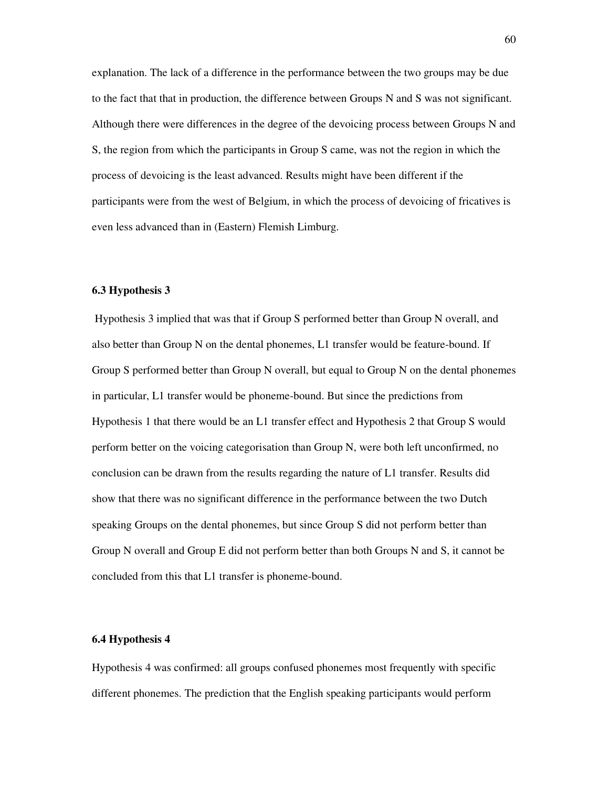explanation. The lack of a difference in the performance between the two groups may be due to the fact that that in production, the difference between Groups N and S was not significant. Although there were differences in the degree of the devoicing process between Groups N and S, the region from which the participants in Group S came, was not the region in which the process of devoicing is the least advanced. Results might have been different if the participants were from the west of Belgium, in which the process of devoicing of fricatives is even less advanced than in (Eastern) Flemish Limburg.

#### **6.3 Hypothesis 3**

 Hypothesis 3 implied that was that if Group S performed better than Group N overall, and also better than Group N on the dental phonemes, L1 transfer would be feature-bound. If Group S performed better than Group N overall, but equal to Group N on the dental phonemes in particular, L1 transfer would be phoneme-bound. But since the predictions from Hypothesis 1 that there would be an L1 transfer effect and Hypothesis 2 that Group S would perform better on the voicing categorisation than Group N, were both left unconfirmed, no conclusion can be drawn from the results regarding the nature of L1 transfer. Results did show that there was no significant difference in the performance between the two Dutch speaking Groups on the dental phonemes, but since Group S did not perform better than Group N overall and Group E did not perform better than both Groups N and S, it cannot be concluded from this that L1 transfer is phoneme-bound.

#### **6.4 Hypothesis 4**

Hypothesis 4 was confirmed: all groups confused phonemes most frequently with specific different phonemes. The prediction that the English speaking participants would perform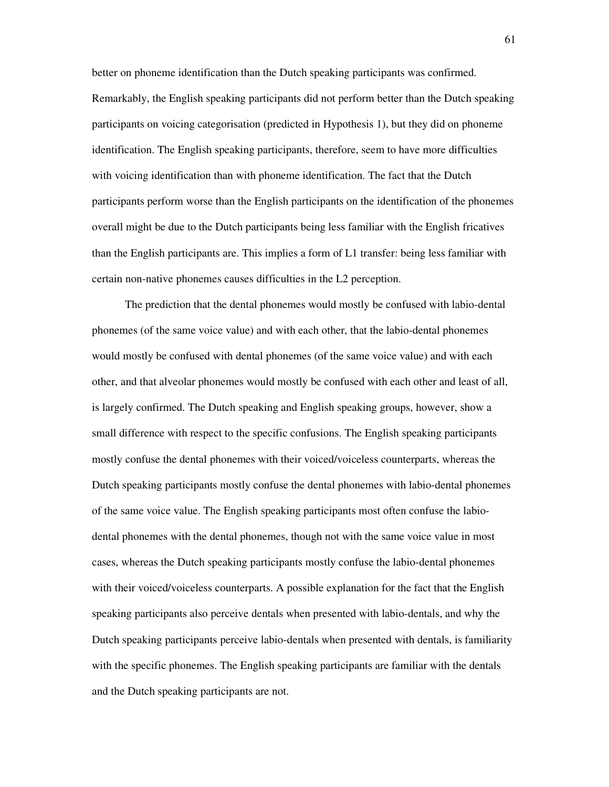better on phoneme identification than the Dutch speaking participants was confirmed. Remarkably, the English speaking participants did not perform better than the Dutch speaking participants on voicing categorisation (predicted in Hypothesis 1), but they did on phoneme identification. The English speaking participants, therefore, seem to have more difficulties with voicing identification than with phoneme identification. The fact that the Dutch participants perform worse than the English participants on the identification of the phonemes overall might be due to the Dutch participants being less familiar with the English fricatives than the English participants are. This implies a form of L1 transfer: being less familiar with certain non-native phonemes causes difficulties in the L2 perception.

The prediction that the dental phonemes would mostly be confused with labio-dental phonemes (of the same voice value) and with each other, that the labio-dental phonemes would mostly be confused with dental phonemes (of the same voice value) and with each other, and that alveolar phonemes would mostly be confused with each other and least of all, is largely confirmed. The Dutch speaking and English speaking groups, however, show a small difference with respect to the specific confusions. The English speaking participants mostly confuse the dental phonemes with their voiced/voiceless counterparts, whereas the Dutch speaking participants mostly confuse the dental phonemes with labio-dental phonemes of the same voice value. The English speaking participants most often confuse the labiodental phonemes with the dental phonemes, though not with the same voice value in most cases, whereas the Dutch speaking participants mostly confuse the labio-dental phonemes with their voiced/voiceless counterparts. A possible explanation for the fact that the English speaking participants also perceive dentals when presented with labio-dentals, and why the Dutch speaking participants perceive labio-dentals when presented with dentals, is familiarity with the specific phonemes. The English speaking participants are familiar with the dentals and the Dutch speaking participants are not.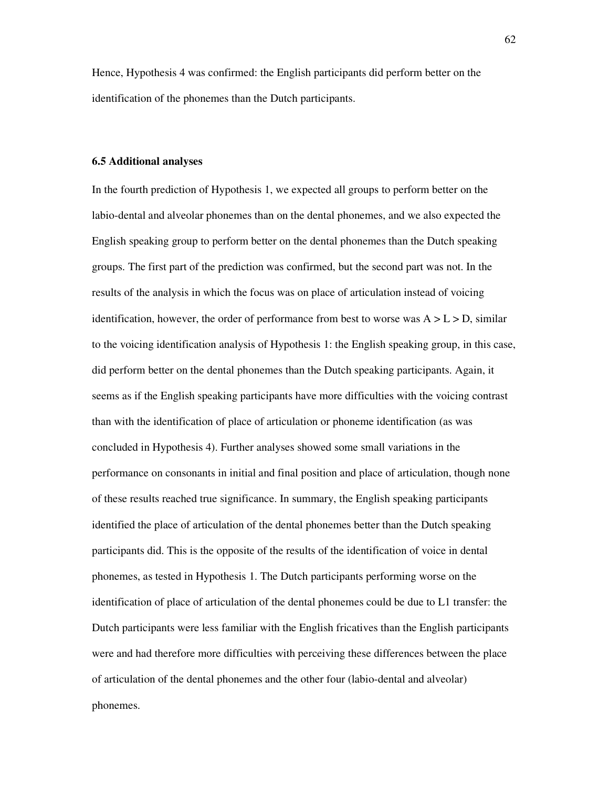Hence, Hypothesis 4 was confirmed: the English participants did perform better on the identification of the phonemes than the Dutch participants.

#### **6.5 Additional analyses**

In the fourth prediction of Hypothesis 1, we expected all groups to perform better on the labio-dental and alveolar phonemes than on the dental phonemes, and we also expected the English speaking group to perform better on the dental phonemes than the Dutch speaking groups. The first part of the prediction was confirmed, but the second part was not. In the results of the analysis in which the focus was on place of articulation instead of voicing identification, however, the order of performance from best to worse was  $A > L > D$ , similar to the voicing identification analysis of Hypothesis 1: the English speaking group, in this case, did perform better on the dental phonemes than the Dutch speaking participants. Again, it seems as if the English speaking participants have more difficulties with the voicing contrast than with the identification of place of articulation or phoneme identification (as was concluded in Hypothesis 4). Further analyses showed some small variations in the performance on consonants in initial and final position and place of articulation, though none of these results reached true significance. In summary, the English speaking participants identified the place of articulation of the dental phonemes better than the Dutch speaking participants did. This is the opposite of the results of the identification of voice in dental phonemes, as tested in Hypothesis 1. The Dutch participants performing worse on the identification of place of articulation of the dental phonemes could be due to L1 transfer: the Dutch participants were less familiar with the English fricatives than the English participants were and had therefore more difficulties with perceiving these differences between the place of articulation of the dental phonemes and the other four (labio-dental and alveolar) phonemes.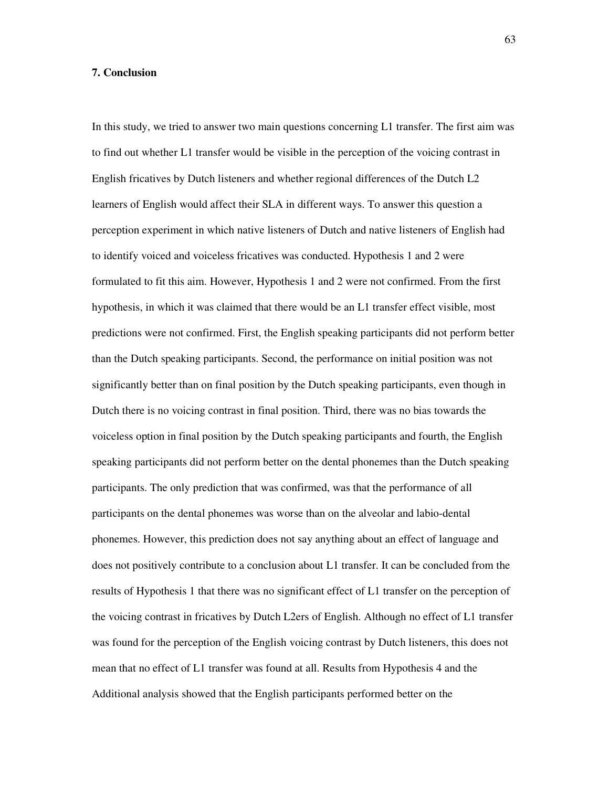#### **7. Conclusion**

In this study, we tried to answer two main questions concerning L1 transfer. The first aim was to find out whether L1 transfer would be visible in the perception of the voicing contrast in English fricatives by Dutch listeners and whether regional differences of the Dutch L2 learners of English would affect their SLA in different ways. To answer this question a perception experiment in which native listeners of Dutch and native listeners of English had to identify voiced and voiceless fricatives was conducted. Hypothesis 1 and 2 were formulated to fit this aim. However, Hypothesis 1 and 2 were not confirmed. From the first hypothesis, in which it was claimed that there would be an L1 transfer effect visible, most predictions were not confirmed. First, the English speaking participants did not perform better than the Dutch speaking participants. Second, the performance on initial position was not significantly better than on final position by the Dutch speaking participants, even though in Dutch there is no voicing contrast in final position. Third, there was no bias towards the voiceless option in final position by the Dutch speaking participants and fourth, the English speaking participants did not perform better on the dental phonemes than the Dutch speaking participants. The only prediction that was confirmed, was that the performance of all participants on the dental phonemes was worse than on the alveolar and labio-dental phonemes. However, this prediction does not say anything about an effect of language and does not positively contribute to a conclusion about L1 transfer. It can be concluded from the results of Hypothesis 1 that there was no significant effect of L1 transfer on the perception of the voicing contrast in fricatives by Dutch L2ers of English. Although no effect of L1 transfer was found for the perception of the English voicing contrast by Dutch listeners, this does not mean that no effect of L1 transfer was found at all. Results from Hypothesis 4 and the Additional analysis showed that the English participants performed better on the

63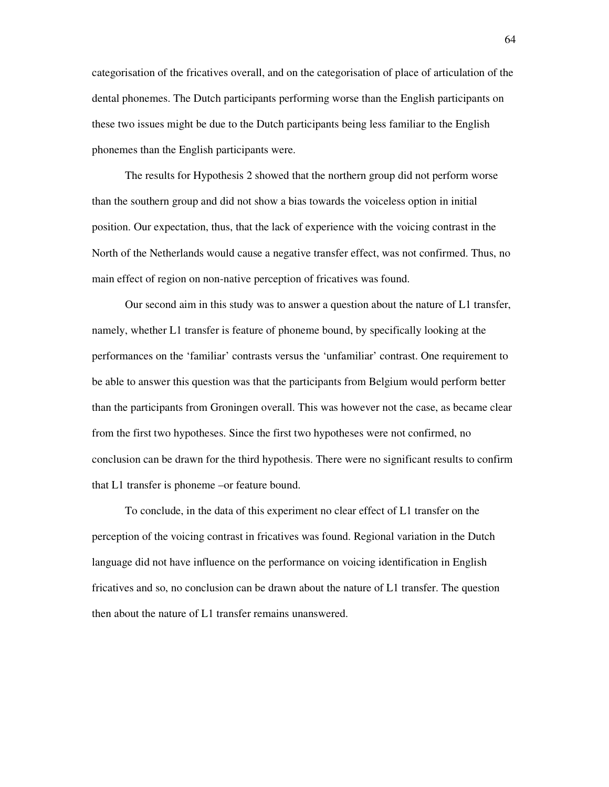categorisation of the fricatives overall, and on the categorisation of place of articulation of the dental phonemes. The Dutch participants performing worse than the English participants on these two issues might be due to the Dutch participants being less familiar to the English phonemes than the English participants were.

The results for Hypothesis 2 showed that the northern group did not perform worse than the southern group and did not show a bias towards the voiceless option in initial position. Our expectation, thus, that the lack of experience with the voicing contrast in the North of the Netherlands would cause a negative transfer effect, was not confirmed. Thus, no main effect of region on non-native perception of fricatives was found.

Our second aim in this study was to answer a question about the nature of L1 transfer, namely, whether L1 transfer is feature of phoneme bound, by specifically looking at the performances on the 'familiar' contrasts versus the 'unfamiliar' contrast. One requirement to be able to answer this question was that the participants from Belgium would perform better than the participants from Groningen overall. This was however not the case, as became clear from the first two hypotheses. Since the first two hypotheses were not confirmed, no conclusion can be drawn for the third hypothesis. There were no significant results to confirm that L1 transfer is phoneme –or feature bound.

To conclude, in the data of this experiment no clear effect of L1 transfer on the perception of the voicing contrast in fricatives was found. Regional variation in the Dutch language did not have influence on the performance on voicing identification in English fricatives and so, no conclusion can be drawn about the nature of L1 transfer. The question then about the nature of L1 transfer remains unanswered.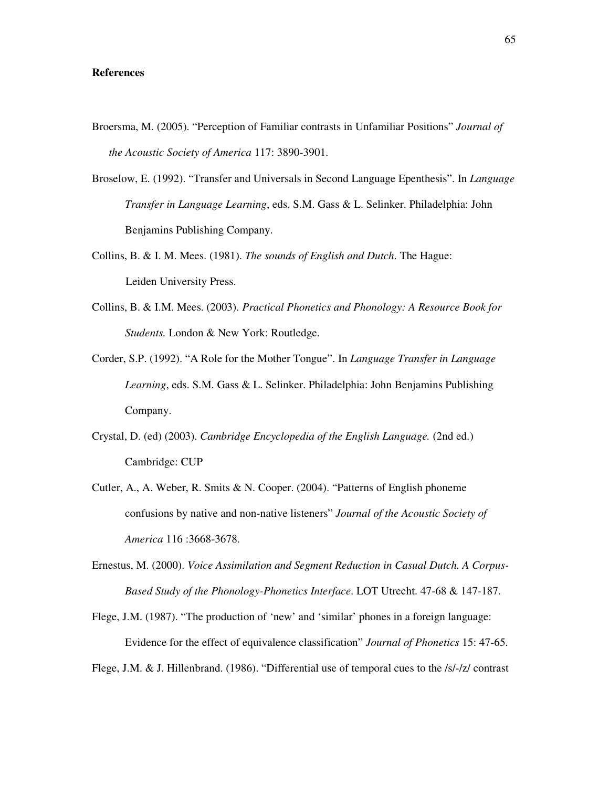#### **References**

- Broersma, M. (2005). "Perception of Familiar contrasts in Unfamiliar Positions" *Journal of the Acoustic Society of America* 117: 3890-3901.
- Broselow, E. (1992). "Transfer and Universals in Second Language Epenthesis". In *Language Transfer in Language Learning*, eds. S.M. Gass & L. Selinker. Philadelphia: John Benjamins Publishing Company.
- Collins, B. & I. M. Mees. (1981). *The sounds of English and Dutch*. The Hague: Leiden University Press.
- Collins, B. & I.M. Mees. (2003). *Practical Phonetics and Phonology: A Resource Book for Students.* London & New York: Routledge.
- Corder, S.P. (1992). "A Role for the Mother Tongue". In *Language Transfer in Language Learning*, eds. S.M. Gass & L. Selinker. Philadelphia: John Benjamins Publishing Company.
- Crystal, D. (ed) (2003). *Cambridge Encyclopedia of the English Language.* (2nd ed.) Cambridge: CUP
- Cutler, A., A. Weber, R. Smits & N. Cooper. (2004). "Patterns of English phoneme confusions by native and non-native listeners" *Journal of the Acoustic Society of America* 116 :3668-3678.
- Ernestus, M. (2000). *Voice Assimilation and Segment Reduction in Casual Dutch. A Corpus-Based Study of the Phonology-Phonetics Interface*. LOT Utrecht. 47-68 & 147-187.
- Flege, J.M. (1987). "The production of 'new' and 'similar' phones in a foreign language: Evidence for the effect of equivalence classification" *Journal of Phonetics* 15: 47-65.

Flege, J.M. & J. Hillenbrand. (1986). "Differential use of temporal cues to the /s/-/z/ contrast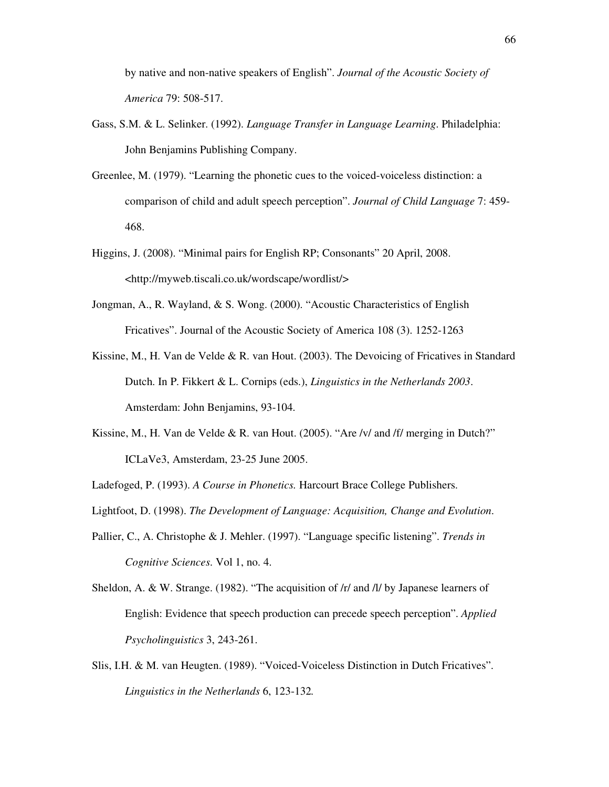by native and non-native speakers of English". *Journal of the Acoustic Society of America* 79: 508-517.

- Gass, S.M. & L. Selinker. (1992). *Language Transfer in Language Learning*. Philadelphia: John Benjamins Publishing Company.
- Greenlee, M. (1979). "Learning the phonetic cues to the voiced-voiceless distinction: a comparison of child and adult speech perception". *Journal of Child Language* 7: 459- 468.
- Higgins, J. (2008). "Minimal pairs for English RP; Consonants" 20 April, 2008. <http://myweb.tiscali.co.uk/wordscape/wordlist/>
- Jongman, A., R. Wayland, & S. Wong. (2000). "Acoustic Characteristics of English Fricatives". Journal of the Acoustic Society of America 108 (3). 1252-1263
- Kissine, M., H. Van de Velde & R. van Hout. (2003). The Devoicing of Fricatives in Standard Dutch. In P. Fikkert & L. Cornips (eds.), *Linguistics in the Netherlands 2003*. Amsterdam: John Benjamins, 93-104.
- Kissine, M., H. Van de Velde & R. van Hout. (2005). "Are /v/ and /f/ merging in Dutch?" ICLaVe3, Amsterdam, 23-25 June 2005.
- Ladefoged, P. (1993). *A Course in Phonetics.* Harcourt Brace College Publishers.
- Lightfoot, D. (1998). *The Development of Language: Acquisition, Change and Evolution*.
- Pallier, C., A. Christophe & J. Mehler. (1997). "Language specific listening". *Trends in Cognitive Sciences*. Vol 1, no. 4.
- Sheldon, A. & W. Strange. (1982). "The acquisition of /r/ and /l/ by Japanese learners of English: Evidence that speech production can precede speech perception". *Applied Psycholinguistics* 3, 243-261.
- Slis, I.H. & M. van Heugten. (1989). "Voiced-Voiceless Distinction in Dutch Fricatives". *Linguistics in the Netherlands* 6, 123-132*.*